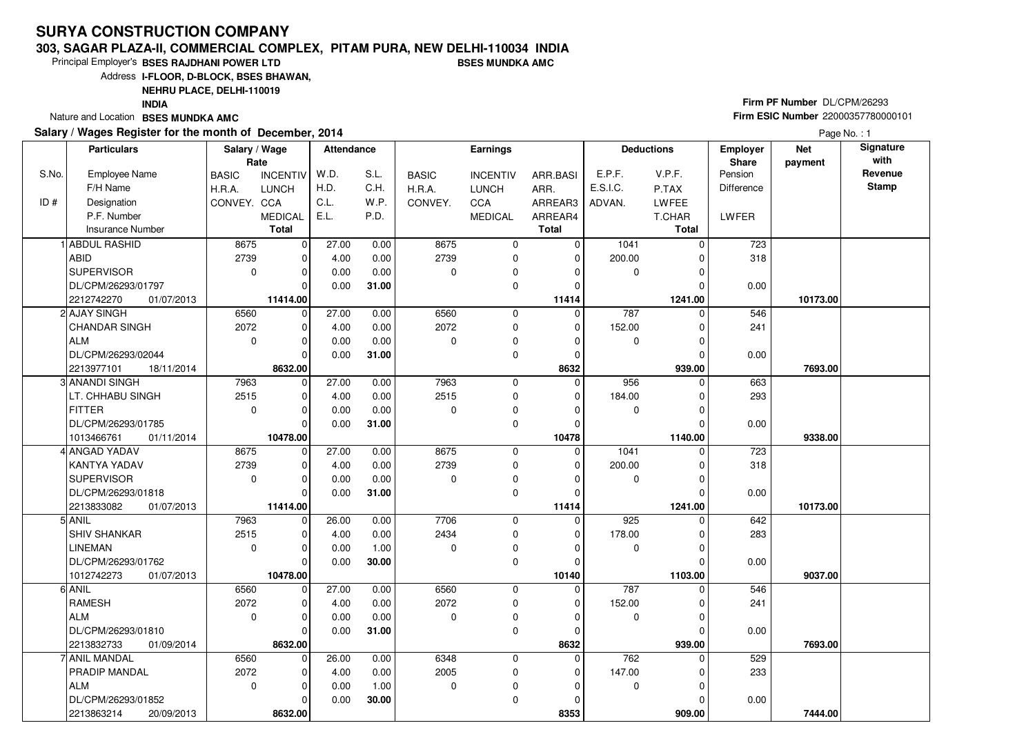#### **303, SAGAR PLAZA-II, COMMERCIAL COMPLEX, PITAM PURA, NEW DELHI-110034 INDIABSES MUNDKA AMC**

Principal Employer's**BSES RAJDHANI POWER LTD**

Address**I-FLOOR, D-BLOCK, BSES BHAWAN,**

**NEHRU PLACE, DELHI-110019**

**INDIA**

Nature and Location **BSES MUNDKA AMC** 

### **Salary / Wages Register for the month of December, 2014**

# **Firm PF Number** DL/CPM/26293 **Firm ESIC Number** <sup>22000357780000101</sup>

|       | <b>Particulars</b>       | Salary / Wage | Rate                    | <b>Attendance</b> |              |              | <b>Earnings</b> |                   |             | <b>Deductions</b>   | Employer<br>Share | <b>Net</b><br>payment | Signature<br>with |
|-------|--------------------------|---------------|-------------------------|-------------------|--------------|--------------|-----------------|-------------------|-------------|---------------------|-------------------|-----------------------|-------------------|
| S.No. | <b>Employee Name</b>     | <b>BASIC</b>  | <b>INCENTIV</b>         | W.D.              | S.L.         | <b>BASIC</b> | <b>INCENTIV</b> | ARR.BASI          | E.P.F.      | V.P.F.              | Pension           |                       | Revenue           |
|       | F/H Name                 | H.R.A.        | <b>LUNCH</b>            | H.D.              | C.H.         | H.R.A.       | <b>LUNCH</b>    | ARR.              | E.S.I.C.    | P.TAX               | <b>Difference</b> |                       | <b>Stamp</b>      |
| ID#   | Designation              | CONVEY. CCA   |                         | C.L.              | W.P.         | CONVEY.      | <b>CCA</b>      | ARREAR3           | ADVAN.      | LWFEE               |                   |                       |                   |
|       | P.F. Number              |               | <b>MEDICAL</b>          | E.L.              | P.D.         |              | <b>MEDICAL</b>  | ARREAR4           |             | T.CHAR              | <b>LWFER</b>      |                       |                   |
|       | <b>Insurance Number</b>  |               | <b>Total</b>            |                   |              |              |                 | <b>Total</b>      |             | Total               |                   |                       |                   |
|       | 1 ABDUL RASHID           | 8675          | $\mathbf 0$             | 27.00             | 0.00         | 8675         | 0               | 0                 | 1041        | $\Omega$            | 723               |                       |                   |
|       | ABID                     | 2739          | $\mathbf 0$             | 4.00              | 0.00         | 2739         | 0               | 0                 | 200.00      |                     | 318               |                       |                   |
|       | <b>SUPERVISOR</b>        | $\mathbf 0$   | $\Omega$                | 0.00              | 0.00         | $\Omega$     | 0               | $\Omega$          | 0           | O                   |                   |                       |                   |
|       | DL/CPM/26293/01797       |               | $\Omega$                | 0.00              | 31.00        |              | 0               | $\Omega$          |             |                     | 0.00              |                       |                   |
|       | 2212742270<br>01/07/2013 |               | 11414.00                |                   |              |              |                 | 11414             |             | 1241.00             |                   | 10173.00              |                   |
|       | 2 AJAY SINGH             | 6560          | 0                       | 27.00             | 0.00         | 6560         | $\mathbf 0$     | $\Omega$          | 787         | $\Omega$            | 546               |                       |                   |
|       | CHANDAR SINGH            | 2072          | $\mathbf 0$             | 4.00              | 0.00         | 2072         | $\mathbf 0$     | $\mathbf 0$       | 152.00      |                     | 241               |                       |                   |
|       | ALM                      | $\mathbf 0$   | $\mathbf 0$             | 0.00              | 0.00         | $\Omega$     | $\mathbf 0$     | $\Omega$          | 0           |                     |                   |                       |                   |
|       | DL/CPM/26293/02044       |               | $\Omega$                | 0.00              | 31.00        |              | 0               | $\Omega$          |             | $\Omega$            | 0.00              |                       |                   |
|       | 2213977101<br>18/11/2014 |               | 8632.00                 |                   |              |              |                 | 8632              |             | 939.00              |                   | 7693.00               |                   |
|       | 3 ANANDI SINGH           | 7963          | $\overline{0}$          | 27.00             | 0.00         | 7963         | $\mathbf 0$     | $\mathbf 0$       | 956         | $\Omega$            | 663               |                       |                   |
|       | LT. CHHABU SINGH         | 2515          | $\mathbf 0$             | 4.00              | 0.00         | 2515         | 0               | 0                 | 184.00      |                     | 293               |                       |                   |
|       | FITTER                   | $\mathbf 0$   | $\mathbf 0$             | 0.00              | 0.00         | $\Omega$     | 0               | $\Omega$          | 0           | $\Omega$            |                   |                       |                   |
|       | DL/CPM/26293/01785       |               | $\Omega$                | 0.00              | 31.00        |              | $\mathbf 0$     | $\mathbf 0$       |             |                     | 0.00              |                       |                   |
|       | 1013466761<br>01/11/2014 |               | 10478.00                |                   |              |              |                 | 10478             |             | 1140.00             |                   | 9338.00               |                   |
|       | 4 ANGAD YADAV            | 8675          | $\overline{0}$          | 27.00             | 0.00         | 8675         | 0               | $\mathbf 0$       | 1041        | 0                   | 723               |                       |                   |
|       | <b>KANTYA YADAV</b>      | 2739          | $\mathbf 0$             | 4.00              | 0.00         | 2739         | 0               | $\Omega$          | 200.00      |                     | 318               |                       |                   |
|       | SUPERVISOR               | $\Omega$      | $\Omega$                | 0.00              | 0.00         | $\Omega$     | 0               | $\Omega$          | 0           |                     |                   |                       |                   |
|       | DL/CPM/26293/01818       |               | $\Omega$                | 0.00              | 31.00        |              | $\mathbf 0$     | $\Omega$          |             |                     | 0.00              |                       |                   |
|       | 2213833082<br>01/07/2013 |               | 11414.00                |                   |              |              |                 | 11414             |             | 1241.00             |                   | 10173.00              |                   |
|       | $5$ ANIL                 | 7963          | $\mathbf 0$             | 26.00             | 0.00         | 7706         | 0               | 0                 | 925         |                     | 642               |                       |                   |
|       | <b>SHIV SHANKAR</b>      | 2515          | $\Omega$                | 4.00              | 0.00         | 2434         | 0               | 0                 | 178.00      |                     | 283               |                       |                   |
|       | <b>LINEMAN</b>           | $\mathbf 0$   | $\mathbf 0$             | 0.00              | 1.00         | $\Omega$     | $\mathbf 0$     | $\Omega$          | $\mathbf 0$ | $\Omega$            |                   |                       |                   |
|       | DL/CPM/26293/01762       |               | $\Omega$                | 0.00              | 30.00        |              | 0               | $\Omega$          |             |                     | 0.00              |                       |                   |
|       | 1012742273<br>01/07/2013 | 6560          | 10478.00                |                   |              |              | $\mathbf 0$     | 10140<br>$\Omega$ | 787         | 1103.00<br>$\Omega$ |                   | 9037.00               |                   |
|       | 6 ANIL<br><b>RAMESH</b>  | 2072          | $\mathbf 0$<br>$\Omega$ | 27.00<br>4.00     | 0.00<br>0.00 | 6560<br>2072 | 0               | $\Omega$          | 152.00      |                     | 546<br>241        |                       |                   |
|       | ALM                      | $\mathbf 0$   | $\Omega$                | 0.00              | 0.00         | $\Omega$     | $\mathbf 0$     | $\Omega$          | 0           |                     |                   |                       |                   |
|       | DL/CPM/26293/01810       |               | $\Omega$                | 0.00              | 31.00        |              | $\mathbf 0$     | $\Omega$          |             |                     | 0.00              |                       |                   |
|       | 2213832733<br>01/09/2014 |               | 8632.00                 |                   |              |              |                 | 8632              |             | 939.00              |                   | 7693.00               |                   |
|       | 7 ANIL MANDAL            | 6560          | $\mathbf 0$             | 26.00             | 0.00         | 6348         | $\mathbf 0$     | 0                 | 762         | $\Omega$            | 529               |                       |                   |
|       | <b>PRADIP MANDAL</b>     | 2072          | $\mathbf 0$             | 4.00              | 0.00         | 2005         | 0               | $\mathbf 0$       | 147.00      |                     | 233               |                       |                   |
|       | ALM                      | $\mathbf 0$   | $\mathbf 0$             | 0.00              | 1.00         | $\mathbf 0$  | 0               | $\Omega$          | 0           |                     |                   |                       |                   |
|       | DL/CPM/26293/01852       |               | $\Omega$                | 0.00              | 30.00        |              | $\mathbf 0$     | $\Omega$          |             |                     | 0.00              |                       |                   |
|       | 2213863214<br>20/09/2013 |               | 8632.00                 |                   |              |              |                 | 8353              |             | 909.00              |                   | 7444.00               |                   |
|       |                          |               |                         |                   |              |              |                 |                   |             |                     |                   |                       |                   |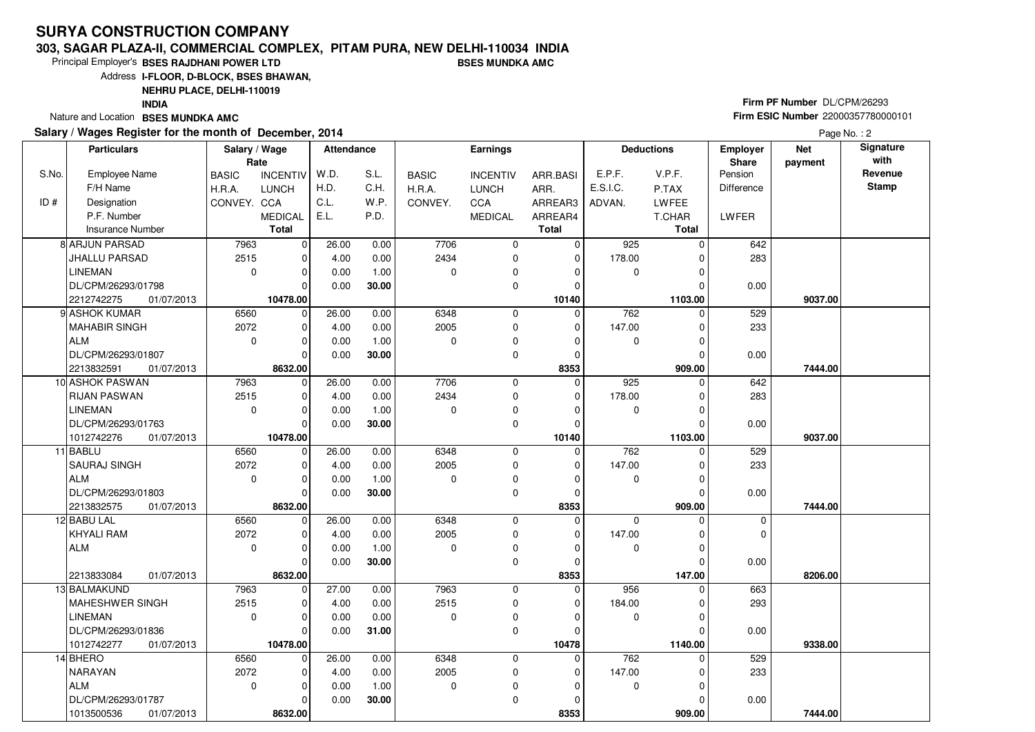#### **303, SAGAR PLAZA-II, COMMERCIAL COMPLEX, PITAM PURA, NEW DELHI-110034 INDIABSES MUNDKA AMC**

Principal Employer's**BSES RAJDHANI POWER LTD**

Address**I-FLOOR, D-BLOCK, BSES BHAWAN,**

**NEHRU PLACE, DELHI-110019**

**INDIA**

Nature and Location **BSES MUNDKA AMC** 

### **Salary / Wages Register for the month of December, 2014**

# **Firm PF Number** DL/CPM/26293 **Firm ESIC Number** <sup>22000357780000101</sup>

|       | <b>Particulars</b>       | Salary / Wage<br>Rate |                 | <b>Attendance</b> |       |              | <b>Earnings</b> |              |          | <b>Deductions</b> | Employer<br>Share | <b>Net</b><br>payment | Signature<br>with |
|-------|--------------------------|-----------------------|-----------------|-------------------|-------|--------------|-----------------|--------------|----------|-------------------|-------------------|-----------------------|-------------------|
| S.No. | <b>Employee Name</b>     | <b>BASIC</b>          | <b>INCENTIV</b> | W.D.              | S.L.  | <b>BASIC</b> | <b>INCENTIV</b> | ARR.BASI     | E.P.F.   | V.P.F.            | Pension           |                       | Revenue           |
|       | F/H Name                 | H.R.A.                | <b>LUNCH</b>    | H.D.              | C.H.  | H.R.A.       | <b>LUNCH</b>    | ARR.         | E.S.I.C. | P.TAX             | <b>Difference</b> |                       | <b>Stamp</b>      |
| ID#   | Designation              | CONVEY. CCA           |                 | C.L.              | W.P.  | CONVEY.      | CCA             | ARREAR3      | ADVAN.   | LWFEE             |                   |                       |                   |
|       | P.F. Number              |                       | <b>MEDICAL</b>  | E.L.              | P.D.  |              | <b>MEDICAL</b>  | ARREAR4      |          | T.CHAR            | LWFER             |                       |                   |
|       | <b>Insurance Number</b>  |                       | <b>Total</b>    |                   |       |              |                 | <b>Total</b> |          | <b>Total</b>      |                   |                       |                   |
|       | 8 ARJUN PARSAD           | 7963                  | $\mathbf 0$     | 26.00             | 0.00  | 7706         | 0               | 0            | 925      | $\Omega$          | 642               |                       |                   |
|       | JHALLU PARSAD            | 2515                  | $\mathbf 0$     | 4.00              | 0.00  | 2434         | $\mathbf 0$     | $\mathbf 0$  | 178.00   | $\Omega$          | 283               |                       |                   |
|       | LINEMAN                  | $\mathbf 0$           | $\mathbf 0$     | 0.00              | 1.00  | $\Omega$     | 0               | $\Omega$     | 0        |                   |                   |                       |                   |
|       | DL/CPM/26293/01798       |                       | $\Omega$        | 0.00              | 30.00 |              | 0               | $\Omega$     |          |                   | 0.00              |                       |                   |
|       | 2212742275<br>01/07/2013 |                       | 10478.00        |                   |       |              |                 | 10140        |          | 1103.00           |                   | 9037.00               |                   |
|       | 9 ASHOK KUMAR            | 6560                  | $\mathbf 0$     | 26.00             | 0.00  | 6348         | $\mathbf 0$     | $\Omega$     | 762      | $\Omega$          | 529               |                       |                   |
|       | MAHABIR SINGH            | 2072                  | $\mathbf 0$     | 4.00              | 0.00  | 2005         | 0               | 0            | 147.00   | $\Omega$          | 233               |                       |                   |
|       | <b>ALM</b>               | $\mathbf 0$           | $\mathbf 0$     | 0.00              | 1.00  | $\Omega$     | 0               | $\Omega$     | 0        | 0                 |                   |                       |                   |
|       | DL/CPM/26293/01807       |                       | $\Omega$        | 0.00              | 30.00 |              | $\mathbf 0$     | $\mathbf 0$  |          | $\Omega$          | 0.00              |                       |                   |
|       | 2213832591<br>01/07/2013 |                       | 8632.00         |                   |       |              |                 | 8353         |          | 909.00            |                   | 7444.00               |                   |
|       | 10 ASHOK PASWAN          | 7963                  | $\mathbf 0$     | 26.00             | 0.00  | 7706         | 0               | $\mathbf 0$  | 925      | $\Omega$          | 642               |                       |                   |
|       | <b>RIJAN PASWAN</b>      | 2515                  | $\mathbf 0$     | 4.00              | 0.00  | 2434         | $\mathbf 0$     | $\mathbf 0$  | 178.00   | 0                 | 283               |                       |                   |
|       | <b>LINEMAN</b>           | $\mathbf 0$           | $\mathbf 0$     | 0.00              | 1.00  | $\Omega$     | 0               | $\Omega$     | 0        | $\Omega$          |                   |                       |                   |
|       | DL/CPM/26293/01763       |                       | $\Omega$        | 0.00              | 30.00 |              | 0               | $\mathbf 0$  |          | $\Omega$          | 0.00              |                       |                   |
|       | 1012742276<br>01/07/2013 |                       | 10478.00        |                   |       |              |                 | 10140        |          | 1103.00           |                   | 9037.00               |                   |
|       | 11 BABLU                 | 6560                  | $\overline{0}$  | 26.00             | 0.00  | 6348         | 0               | $\Omega$     | 762      | $\Omega$          | 529               |                       |                   |
|       | <b>SAURAJ SINGH</b>      | 2072                  | $\mathbf 0$     | 4.00              | 0.00  | 2005         | $\mathbf 0$     | 0            | 147.00   |                   | 233               |                       |                   |
|       | ALM                      | $\mathbf 0$           | $\mathbf 0$     | 0.00              | 1.00  | $\Omega$     | 0               | $\Omega$     | 0        | $\Omega$          |                   |                       |                   |
|       | DL/CPM/26293/01803       |                       | $\Omega$        | 0.00              | 30.00 |              | $\mathbf 0$     | $\Omega$     |          | $\Omega$          | 0.00              |                       |                   |
|       | 2213832575<br>01/07/2013 |                       | 8632.00         |                   |       |              |                 | 8353         |          | 909.00            |                   | 7444.00               |                   |
|       | 12 BABU LAL              | 6560                  | $\mathbf 0$     | 26.00             | 0.00  | 6348         | 0               | $\mathbf 0$  | $\Omega$ | $\Omega$          | 0                 |                       |                   |
|       | KHYALI RAM               | 2072                  | $\mathbf 0$     | 4.00              | 0.00  | 2005         | $\mathbf 0$     | $\mathbf 0$  | 147.00   | $\Omega$          | $\mathbf 0$       |                       |                   |
|       | ALM                      | $\mathbf 0$           | $\mathbf 0$     | 0.00              | 1.00  | $\Omega$     | 0               | 0            | 0        | 0                 |                   |                       |                   |
|       |                          |                       | $\Omega$        | 0.00              | 30.00 |              | $\mathbf 0$     | $\mathbf 0$  |          | 0                 | 0.00              |                       |                   |
|       | 2213833084<br>01/07/2013 |                       | 8632.00         |                   |       |              |                 | 8353         |          | 147.00            |                   | 8206.00               |                   |
|       | 13 BALMAKUND             | 7963                  | $\mathbf 0$     | 27.00             | 0.00  | 7963         | $\mathbf 0$     | $\Omega$     | 956      | $\Omega$          | 663               |                       |                   |
|       | MAHESHWER SINGH          | 2515                  | $\mathbf 0$     | 4.00              | 0.00  | 2515         | 0               | 0            | 184.00   |                   | 293               |                       |                   |
|       | <b>LINEMAN</b>           | $\Omega$              | $\Omega$        | 0.00              | 0.00  | $\Omega$     | $\mathbf 0$     | $\Omega$     | 0        | $\Omega$          |                   |                       |                   |
|       | DL/CPM/26293/01836       |                       | $\Omega$        | 0.00              | 31.00 |              | $\Omega$        | $\Omega$     |          |                   | 0.00              |                       |                   |
|       | 1012742277<br>01/07/2013 |                       | 10478.00        |                   |       |              |                 | 10478        |          | 1140.00           |                   | 9338.00               |                   |
|       | 14 BHERO                 | 6560                  | $\mathbf 0$     | 26.00             | 0.00  | 6348         | $\mathbf 0$     | 0            | 762      | 0                 | 529               |                       |                   |
|       | <b>NARAYAN</b>           | 2072                  | $\mathbf 0$     | 4.00              | 0.00  | 2005         | 0               | 0            | 147.00   |                   | 233               |                       |                   |
|       | ALM                      | $\mathbf 0$           | $\mathbf 0$     | 0.00              | 1.00  | $\mathbf 0$  | 0               | $\Omega$     | 0        | O                 |                   |                       |                   |
|       | DL/CPM/26293/01787       |                       | $\Omega$        | 0.00              | 30.00 |              | $\mathbf 0$     | $\Omega$     |          |                   | 0.00              |                       |                   |
|       | 1013500536<br>01/07/2013 |                       | 8632.00         |                   |       |              |                 | 8353         |          | 909.00            |                   | 7444.00               |                   |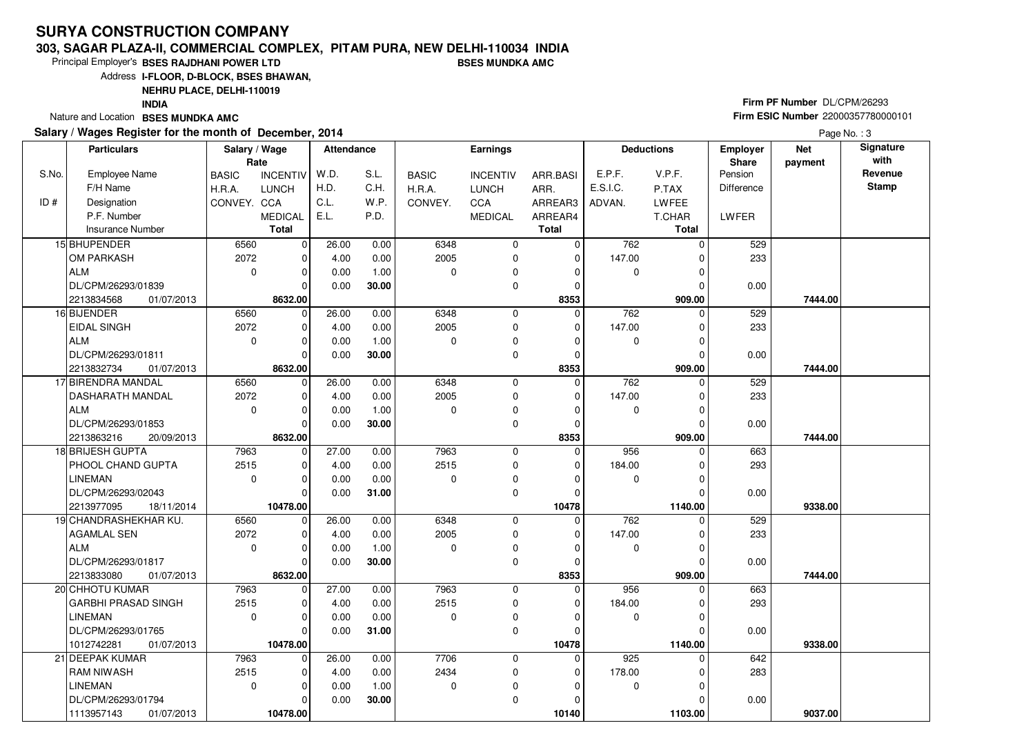#### **303, SAGAR PLAZA-II, COMMERCIAL COMPLEX, PITAM PURA, NEW DELHI-110034 INDIABSES MUNDKA AMC**

Principal Employer's**BSES RAJDHANI POWER LTD**

Address**I-FLOOR, D-BLOCK, BSES BHAWAN,**

**NEHRU PLACE, DELHI-110019**

**INDIA**

Nature and Location **BSES MUNDKA AMC** 

### **Salary / Wages Register for the month of December, 2014**

# **Firm PF Number** DL/CPM/26293 **Firm ESIC Number** <sup>22000357780000101</sup>

|       | <b>Particulars</b>         | Salary / Wage<br>Rate |                 | <b>Attendance</b> |       |              | <b>Earnings</b> |              |                  | <b>Deductions</b> | Employer<br><b>Share</b> | <b>Net</b> | Signature<br>with |
|-------|----------------------------|-----------------------|-----------------|-------------------|-------|--------------|-----------------|--------------|------------------|-------------------|--------------------------|------------|-------------------|
| S.No. | Employee Name              | <b>BASIC</b>          | <b>INCENTIV</b> | W.D.              | S.L.  | <b>BASIC</b> | <b>INCENTIV</b> | ARR.BASI     | E.P.F.           | V.P.F.            | Pension                  | payment    | Revenue           |
|       | F/H Name                   | H.R.A.                | <b>LUNCH</b>    | H.D.              | C.H.  | H.R.A.       | <b>LUNCH</b>    | ARR.         | E.S.I.C.         | P.TAX             | Difference               |            | <b>Stamp</b>      |
| ID#   | Designation                | CONVEY. CCA           |                 | C.L.              | W.P.  | CONVEY.      | <b>CCA</b>      | ARREAR3      | ADVAN.           | <b>LWFEE</b>      |                          |            |                   |
|       | P.F. Number                |                       | <b>MEDICAL</b>  | E.L.              | P.D.  |              | <b>MEDICAL</b>  | ARREAR4      |                  | T.CHAR            | LWFER                    |            |                   |
|       | <b>Insurance Number</b>    |                       | <b>Total</b>    |                   |       |              |                 | <b>Total</b> |                  | <b>Total</b>      |                          |            |                   |
|       | 15 BHUPENDER               | 6560                  | $\mathbf 0$     | 26.00             | 0.00  | 6348         | 0               | 0            | 762              | $\Omega$          | 529                      |            |                   |
|       | <b>OM PARKASH</b>          | 2072                  | $\mathbf 0$     | 4.00              | 0.00  | 2005         | $\mathbf 0$     | $\mathbf 0$  | 147.00           | $\Omega$          | 233                      |            |                   |
|       | ALM                        | $\mathbf 0$           | $\Omega$        | 0.00              | 1.00  | $\Omega$     | 0               | $\Omega$     | 0                |                   |                          |            |                   |
|       | DL/CPM/26293/01839         |                       | $\Omega$        | 0.00              | 30.00 |              | 0               | $\mathbf 0$  |                  | 0                 | 0.00                     |            |                   |
|       | 01/07/2013<br>2213834568   |                       | 8632.00         |                   |       |              |                 | 8353         |                  | 909.00            |                          | 7444.00    |                   |
|       | 16 BIJENDER                | 6560                  | $\overline{0}$  | 26.00             | 0.00  | 6348         | 0               | $\Omega$     | 762              | $\Omega$          | 529                      |            |                   |
|       | <b>EIDAL SINGH</b>         | 2072                  | $\mathbf 0$     | 4.00              | 0.00  | 2005         | $\mathbf 0$     | $\mathbf 0$  | 147.00           |                   | 233                      |            |                   |
|       | ALM                        | $\mathbf 0$           | $\mathbf 0$     | 0.00              | 1.00  | $\Omega$     | 0               | $\Omega$     | 0                |                   |                          |            |                   |
|       | DL/CPM/26293/01811         |                       | $\Omega$        | 0.00              | 30.00 |              | $\mathbf 0$     | $\mathbf 0$  |                  | $\Omega$          | 0.00                     |            |                   |
|       | 2213832734<br>01/07/2013   |                       | 8632.00         |                   |       |              |                 | 8353         |                  | 909.00            |                          | 7444.00    |                   |
|       | 17 BIRENDRA MANDAL         | 6560                  | $\mathbf 0$     | 26.00             | 0.00  | 6348         | 0               | $\mathbf 0$  | 762              | 0                 | 529                      |            |                   |
|       | <b>DASHARATH MANDAL</b>    | 2072                  | $\mathbf 0$     | 4.00              | 0.00  | 2005         | $\mathbf 0$     | $\mathbf 0$  | 147.00           |                   | 233                      |            |                   |
|       | ALM                        | $\mathbf 0$           | $\mathbf 0$     | 0.00              | 1.00  | $\Omega$     | 0               | $\Omega$     | 0                | $\Omega$          |                          |            |                   |
|       | DL/CPM/26293/01853         |                       | $\Omega$        | 0.00              | 30.00 |              | $\mathbf 0$     | $\mathbf 0$  |                  |                   | 0.00                     |            |                   |
|       | 2213863216<br>20/09/2013   |                       | 8632.00         |                   |       |              |                 | 8353         |                  | 909.00            |                          | 7444.00    |                   |
|       | 18 BRIJESH GUPTA           | 7963                  | $\mathbf 0$     | 27.00             | 0.00  | 7963         | $\mathbf 0$     | $\mathbf 0$  | 956              | $\Omega$          | 663                      |            |                   |
|       | PHOOL CHAND GUPTA          | 2515                  | $\Omega$        | 4.00              | 0.00  | 2515         | $\mathbf 0$     | $\Omega$     | 184.00           |                   | 293                      |            |                   |
|       | <b>LINEMAN</b>             | $\mathbf 0$           | $\Omega$        | 0.00              | 0.00  | $\Omega$     | 0               | $\Omega$     | 0                |                   |                          |            |                   |
|       | DL/CPM/26293/02043         |                       | $\Omega$        | 0.00              | 31.00 |              | $\mathbf 0$     | $\Omega$     |                  |                   | 0.00                     |            |                   |
|       | 2213977095<br>18/11/2014   |                       | 10478.00        |                   |       |              |                 | 10478        |                  | 1140.00           |                          | 9338.00    |                   |
|       | 19 CHANDRASHEKHAR KU.      | 6560                  | $\mathbf 0$     | 26.00             | 0.00  | 6348         | $\mathbf 0$     | $\Omega$     | 762              |                   | 529                      |            |                   |
|       | <b>AGAMLAL SEN</b>         | 2072                  | $\Omega$        | 4.00              | 0.00  | 2005         | 0               | $\Omega$     | 147.00           |                   | 233                      |            |                   |
|       | <b>ALM</b>                 | $\Omega$              | $\mathbf 0$     | 0.00              | 1.00  | $\Omega$     | $\mathbf 0$     | $\mathbf 0$  | $\mathbf 0$      | O                 |                          |            |                   |
|       | DL/CPM/26293/01817         |                       | $\Omega$        | 0.00              | 30.00 |              | $\mathbf 0$     | $\Omega$     |                  |                   | 0.00                     |            |                   |
|       | 2213833080<br>01/07/2013   |                       | 8632.00         |                   |       |              |                 | 8353         |                  | 909.00            |                          | 7444.00    |                   |
|       | 20 CHHOTU KUMAR            | 7963                  | $\mathbf 0$     | 27.00             | 0.00  | 7963         | $\mathbf 0$     | $\mathbf{0}$ | 956              | 0                 | 663                      |            |                   |
|       | <b>GARBHI PRASAD SINGH</b> | 2515                  | $\mathbf 0$     | 4.00              | 0.00  | 2515         | 0               | 0            | 184.00           |                   | 293                      |            |                   |
|       | <b>LINEMAN</b>             | $\Omega$              | $\mathbf 0$     | 0.00              | 0.00  | $\Omega$     | $\mathbf 0$     | $\Omega$     | 0                |                   |                          |            |                   |
|       | DL/CPM/26293/01765         |                       | $\Omega$        | 0.00              | 31.00 |              | 0               | $\Omega$     |                  |                   | 0.00                     |            |                   |
|       | 1012742281<br>01/07/2013   |                       | 10478.00        |                   |       |              |                 | 10478        |                  | 1140.00           |                          | 9338.00    |                   |
|       | 21 DEEPAK KUMAR            | 7963                  | $\Omega$        | 26.00             | 0.00  | 7706         | $\mathbf 0$     | $\Omega$     | $\overline{925}$ | 0                 | 642                      |            |                   |
|       | <b>RAM NIWASH</b>          | 2515                  | $\Omega$        | 4.00              | 0.00  | 2434         | $\mathbf 0$     | 0            | 178.00           |                   | 283                      |            |                   |
|       | <b>LINEMAN</b>             | $\mathbf 0$           | $\mathbf 0$     | 0.00              | 1.00  | $\mathbf 0$  | 0               | $\Omega$     | 0                | U                 |                          |            |                   |
|       | DL/CPM/26293/01794         |                       | $\Omega$        | 0.00              | 30.00 |              | $\mathbf 0$     | $\Omega$     |                  |                   | 0.00                     |            |                   |
|       | 1113957143<br>01/07/2013   |                       | 10478.00        |                   |       |              |                 | 10140        |                  | 1103.00           |                          | 9037.00    |                   |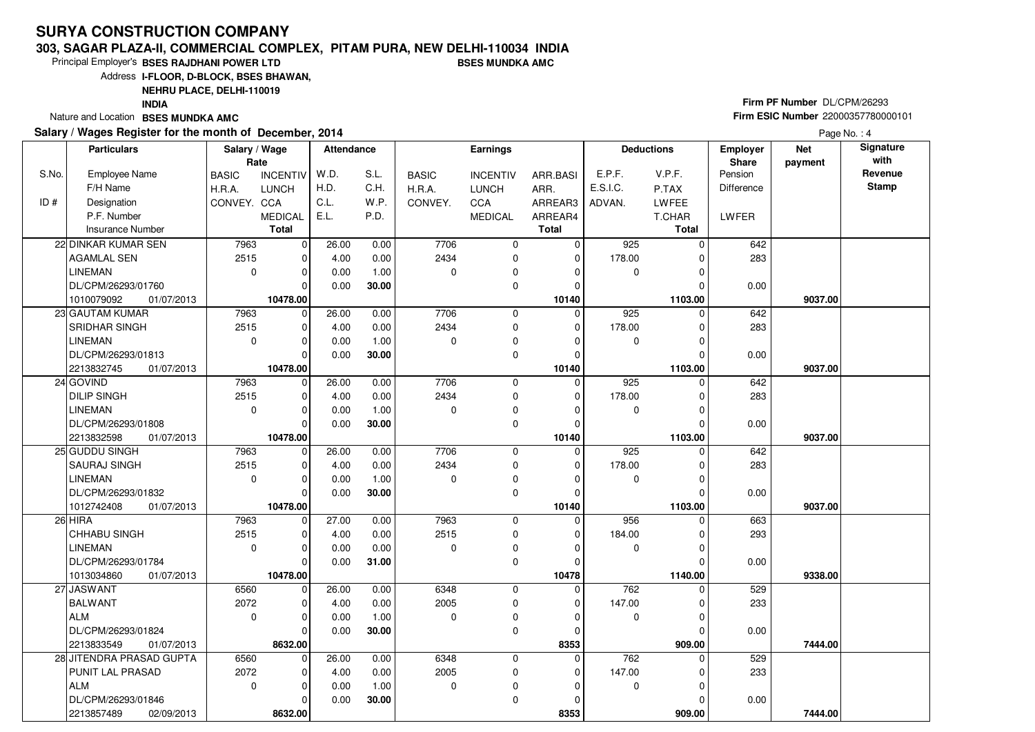#### **303, SAGAR PLAZA-II, COMMERCIAL COMPLEX, PITAM PURA, NEW DELHI-110034 INDIABSES MUNDKA AMC**

Principal Employer's**BSES RAJDHANI POWER LTD**

Address**I-FLOOR, D-BLOCK, BSES BHAWAN,**

**NEHRU PLACE, DELHI-110019**

**INDIA**

Nature and Location **BSES MUNDKA AMC** 

### **Salary / Wages Register for the month of December, 2014**

# **Firm PF Number** DL/CPM/26293 **Firm ESIC Number** <sup>22000357780000101</sup>

|       | <b>Particulars</b>                    | Salary / Wage<br>Rate |                            | <b>Attendance</b> |               |                  | <b>Earnings</b> |               |             | <b>Deductions</b> | <b>Employer</b><br>Share | <b>Net</b><br>payment | Signature<br>with |
|-------|---------------------------------------|-----------------------|----------------------------|-------------------|---------------|------------------|-----------------|---------------|-------------|-------------------|--------------------------|-----------------------|-------------------|
| S.No. | <b>Employee Name</b>                  | <b>BASIC</b>          | <b>INCENTIV</b>            | W.D.              | S.L.          | <b>BASIC</b>     | <b>INCENTIV</b> | ARR.BASI      | E.P.F.      | V.P.F.            | Pension                  |                       | Revenue           |
|       | F/H Name                              | H.R.A.                | <b>LUNCH</b>               | H.D.              | C.H.          | H.R.A.           | <b>LUNCH</b>    | ARR.          | E.S.I.C.    | P.TAX             | Difference               |                       | <b>Stamp</b>      |
| ID#   | Designation                           | CONVEY. CCA           |                            | C.L.              | W.P.          | CONVEY.          | CCA             | ARREAR3       | ADVAN.      | <b>LWFEE</b>      |                          |                       |                   |
|       | P.F. Number                           |                       | <b>MEDICAL</b>             | E.L.              | P.D.          |                  | <b>MEDICAL</b>  | ARREAR4       |             | T.CHAR            | <b>LWFER</b>             |                       |                   |
|       | <b>Insurance Number</b>               |                       | <b>Total</b>               |                   |               |                  |                 | <b>Total</b>  |             | <b>Total</b>      |                          |                       |                   |
|       | 22 DINKAR KUMAR SEN                   | 7963                  | $\mathbf 0$                | 26.00             | 0.00          | 7706             | $\mathbf 0$     | $\mathbf 0$   | 925         | $\Omega$          | 642                      |                       |                   |
|       | <b>AGAMLAL SEN</b>                    | 2515                  | $\mathbf 0$                | 4.00              | 0.00          | 2434             | $\mathbf 0$     | $\Omega$      | 178.00      |                   | 283                      |                       |                   |
|       | <b>LINEMAN</b>                        | $\mathbf 0$           | $\mathbf 0$                | 0.00              | 1.00          | $\Omega$         | $\mathbf 0$     | 0             | 0           |                   |                          |                       |                   |
|       | DL/CPM/26293/01760                    |                       | $\Omega$                   | 0.00              | 30.00         |                  | $\mathbf 0$     | $\Omega$      |             |                   | 0.00                     |                       |                   |
|       | 1010079092<br>01/07/2013              |                       | 10478.00                   |                   |               |                  |                 | 10140         |             | 1103.00           |                          | 9037.00               |                   |
|       | 23 GAUTAM KUMAR                       | 7963                  | $\mathbf 0$                | 26.00             | 0.00          | 7706             | $\mathbf 0$     | $\Omega$      | 925         | $\Omega$          | 642                      |                       |                   |
|       | SRIDHAR SINGH                         | 2515                  | $\mathbf 0$                | 4.00              | 0.00          | 2434             | $\mathbf 0$     | $\Omega$      | 178.00      | U                 | 283                      |                       |                   |
|       | <b>LINEMAN</b>                        | $\mathbf 0$           | $\mathbf 0$                | 0.00              | 1.00          | $\Omega$         | 0               | $\Omega$      | 0           |                   |                          |                       |                   |
|       | DL/CPM/26293/01813                    |                       | $\Omega$                   | 0.00              | 30.00         |                  | $\mathbf 0$     | $\Omega$      |             | O                 | 0.00                     |                       |                   |
|       | 2213832745<br>01/07/2013              |                       | 10478.00                   |                   |               |                  |                 | 10140         |             | 1103.00           |                          | 9037.00               |                   |
|       | 24 GOVIND                             | 7963                  | $\mathbf 0$                | 26.00             | 0.00          | 7706             | $\mathbf 0$     | $\Omega$      | 925         | 0                 | 642                      |                       |                   |
|       | <b>DILIP SINGH</b>                    | 2515                  | $\mathbf 0$                | 4.00              | 0.00          | 2434             | 0               | $\mathbf 0$   | 178.00      | 0                 | 283                      |                       |                   |
|       | LINEMAN                               | $\mathbf 0$           | $\mathbf 0$                | 0.00              | 1.00          | $\Omega$         | 0               | $\Omega$      | 0           |                   |                          |                       |                   |
|       | DL/CPM/26293/01808                    |                       | $\Omega$                   | 0.00              | 30.00         |                  | 0               | $\Omega$      |             |                   | 0.00                     |                       |                   |
|       | 2213832598<br>01/07/2013              |                       | 10478.00                   |                   |               |                  |                 | 10140         |             | 1103.00           |                          | 9037.00               |                   |
|       | 25 GUDDU SINGH                        | 7963                  | 0                          | 26.00             | 0.00          | 7706             | $\mathbf 0$     | $\Omega$      | 925         | $\Omega$          | 642                      |                       |                   |
|       | SAURAJ SINGH                          | 2515                  | $\mathbf 0$                | 4.00              | 0.00          | 2434             | $\mathbf 0$     | 0             | 178.00      |                   | 283                      |                       |                   |
|       | <b>LINEMAN</b>                        | $\mathbf 0$           | $\mathbf 0$                | 0.00              | 1.00          | $\Omega$         | $\mathbf 0$     | $\Omega$      | 0           | O                 |                          |                       |                   |
|       | DL/CPM/26293/01832                    |                       | $\Omega$                   | 0.00              | 30.00         |                  | 0               | 0             |             | O                 | 0.00                     |                       |                   |
|       | 1012742408<br>01/07/2013              |                       | 10478.00                   |                   |               |                  |                 | 10140         |             | 1103.00           |                          | 9037.00               |                   |
|       | 26 HIRA                               | 7963                  | $\mathbf 0$                | $\frac{1}{27.00}$ | 0.00          | 7963             | $\mathbf 0$     | $\Omega$      | 956         | $\Omega$          | 663                      |                       |                   |
|       | <b>CHHABU SINGH</b><br><b>LINEMAN</b> | 2515<br>$\mathbf 0$   | $\mathbf 0$<br>$\mathbf 0$ | 4.00<br>0.00      | 0.00          | 2515<br>$\Omega$ | 0<br>0          | 0<br>$\Omega$ | 184.00<br>0 | 0<br>$\Omega$     | 293                      |                       |                   |
|       | DL/CPM/26293/01784                    |                       | $\Omega$                   | 0.00              | 0.00<br>31.00 |                  | $\mathbf 0$     | $\Omega$      |             |                   | 0.00                     |                       |                   |
|       | 1013034860<br>01/07/2013              |                       | 10478.00                   |                   |               |                  |                 | 10478         |             | 1140.00           |                          | 9338.00               |                   |
|       | 27 JASWANT                            | 6560                  | $\overline{0}$             | 26.00             | 0.00          | 6348             | 0               | 0             | 762         | $\Omega$          | 529                      |                       |                   |
|       | BALWANT                               | 2072                  | $\mathbf 0$                | 4.00              | 0.00          | 2005             | $\mathbf 0$     | 0             | 147.00      |                   | 233                      |                       |                   |
|       | ALM                                   | $\mathbf 0$           | $\mathbf 0$                | 0.00              | 1.00          | $\Omega$         | 0               | $\Omega$      | 0           | O                 |                          |                       |                   |
|       | DL/CPM/26293/01824                    |                       | $\Omega$                   | 0.00              | 30.00         |                  | $\mathbf 0$     | $\mathbf 0$   |             | $\Omega$          | 0.00                     |                       |                   |
|       | 2213833549<br>01/07/2013              |                       | 8632.00                    |                   |               |                  |                 | 8353          |             | 909.00            |                          | 7444.00               |                   |
|       | 28 JITENDRA PRASAD GUPTA              | 6560                  | $\mathbf 0$                | 26.00             | 0.00          | 6348             | 0               | 0             | 762         | 0                 | 529                      |                       |                   |
|       | PUNIT LAL PRASAD                      | 2072                  | $\mathbf 0$                | 4.00              | 0.00          | 2005             | 0               | $\Omega$      | 147.00      |                   | 233                      |                       |                   |
|       | <b>ALM</b>                            | $\mathbf 0$           | $\mathbf 0$                | 0.00              | 1.00          | $\mathbf 0$      | 0               | $\Omega$      | 0           | U                 |                          |                       |                   |
|       | DL/CPM/26293/01846                    |                       | $\Omega$                   | 0.00              | 30.00         |                  | $\mathbf 0$     | $\Omega$      |             |                   | 0.00                     |                       |                   |
|       | 2213857489<br>02/09/2013              |                       | 8632.00                    |                   |               |                  |                 | 8353          |             | 909.00            |                          | 7444.00               |                   |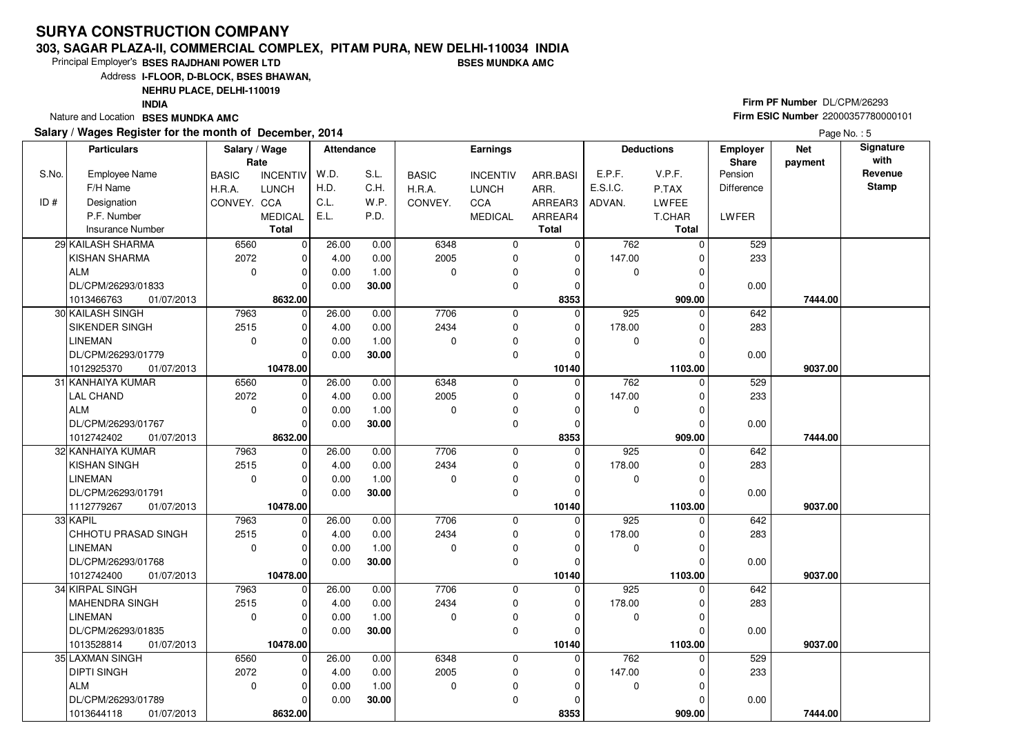#### **303, SAGAR PLAZA-II, COMMERCIAL COMPLEX, PITAM PURA, NEW DELHI-110034 INDIABSES MUNDKA AMC**

Principal Employer's**BSES RAJDHANI POWER LTD**

Address**I-FLOOR, D-BLOCK, BSES BHAWAN,**

**NEHRU PLACE, DELHI-110019**

**INDIA**

Nature and Location **BSES MUNDKA AMC** 

### **Salary / Wages Register for the month of December, 2014**

# **Firm PF Number** DL/CPM/26293 **Firm ESIC Number** <sup>22000357780000101</sup>

|       | <b>Particulars</b>                | Salary / Wage<br>Rate |                               | <b>Attendance</b> |              |              | Earnings         |                      |             | <b>Deductions</b>   | <b>Employer</b><br>Share | <b>Net</b><br>payment | Signature<br>with |
|-------|-----------------------------------|-----------------------|-------------------------------|-------------------|--------------|--------------|------------------|----------------------|-------------|---------------------|--------------------------|-----------------------|-------------------|
| S.No. | <b>Employee Name</b>              | <b>BASIC</b>          | <b>INCENTIV</b>               | W.D.              | S.L.         | <b>BASIC</b> | <b>INCENTIV</b>  | ARR.BASI             | E.P.F.      | V.P.F.              | Pension                  |                       | Revenue           |
|       | F/H Name                          | H.R.A.                | <b>LUNCH</b>                  | H.D.              | C.H.         | H.R.A.       | LUNCH            | ARR.                 | E.S.I.C.    | P.TAX               | <b>Difference</b>        |                       | <b>Stamp</b>      |
| ID#   | Designation                       | CONVEY. CCA           |                               | C.L.              | W.P.         | CONVEY.      | <b>CCA</b>       | ARREAR3              | ADVAN.      | LWFEE               |                          |                       |                   |
|       | P.F. Number                       |                       | <b>MEDICAL</b>                | E.L.              | P.D.         |              | <b>MEDICAL</b>   | ARREAR4              |             | T.CHAR              | <b>LWFER</b>             |                       |                   |
|       | <b>Insurance Number</b>           |                       | <b>Total</b>                  |                   |              |              |                  | <b>Total</b>         |             | <b>Total</b>        |                          |                       |                   |
|       | 29 KAILASH SHARMA                 | 6560                  | $\mathbf 0$                   | 26.00             | 0.00         | 6348         | $\mathbf 0$      | $\mathbf 0$          | 762         | $\Omega$            | 529                      |                       |                   |
|       | <b>KISHAN SHARMA</b>              | 2072                  | $\mathbf 0$                   | 4.00              | 0.00         | 2005         | $\mathbf 0$      | $\mathbf 0$          | 147.00      |                     | 233                      |                       |                   |
|       | l ALM                             | $\mathbf 0$           | $\mathbf 0$                   | 0.00              | 1.00         | $\Omega$     | $\mathbf 0$      | 0                    | $\mathbf 0$ | $\Omega$            |                          |                       |                   |
|       | DL/CPM/26293/01833                |                       | $\Omega$                      | 0.00              | 30.00        |              | 0                | $\Omega$             |             |                     | 0.00                     |                       |                   |
|       | 1013466763<br>01/07/2013          |                       | 8632.00                       |                   |              |              |                  | 8353                 |             | 909.00              |                          | 7444.00               |                   |
|       | 30 KAILASH SINGH                  | 7963                  | $\mathbf 0$                   | 26.00             | 0.00         | 7706         | $\mathbf 0$      | $\Omega$             | 925         | $\Omega$            | 642                      |                       |                   |
|       | SIKENDER SINGH                    | 2515                  | $\mathbf 0$                   | 4.00              | 0.00         | 2434         | 0                | 0                    | 178.00      | O                   | 283                      |                       |                   |
|       | <b>LINEMAN</b>                    | $\mathbf 0$           | $\mathbf 0$                   | 0.00              | 1.00         | $\Omega$     | $\mathbf 0$      | 0                    | 0           | 0                   |                          |                       |                   |
|       | DL/CPM/26293/01779                |                       | $\Omega$                      | 0.00              | 30.00        |              | $\mathbf 0$      | $\Omega$             |             |                     | 0.00                     |                       |                   |
|       | 1012925370<br>01/07/2013          |                       | 10478.00                      |                   |              |              |                  | 10140                |             | 1103.00             |                          | 9037.00               |                   |
|       | 31 KANHAIYA KUMAR                 | 6560                  | $\mathbf 0$                   | 26.00             | 0.00         | 6348         | $\mathbf 0$      | $\Omega$             | 762         | $\Omega$            | 529                      |                       |                   |
|       | <b>LAL CHAND</b>                  | 2072                  | $\mathbf 0$                   | 4.00              | 0.00         | 2005         | 0                | $\mathbf 0$          | 147.00      | 0                   | 233                      |                       |                   |
|       | ALM                               | $\Omega$              | $\mathbf 0$                   | 0.00              | 1.00         | $\Omega$     | 0                | $\Omega$             | 0           |                     |                          |                       |                   |
|       | DL/CPM/26293/01767                |                       | $\Omega$                      | 0.00              | 30.00        |              | $\mathbf 0$      | $\mathbf 0$          |             |                     | 0.00                     |                       |                   |
|       | 01/07/2013<br>1012742402          |                       | 8632.00                       |                   |              |              |                  | 8353                 |             | 909.00              |                          | 7444.00               |                   |
|       | 32 KANHAIYA KUMAR                 | 7963                  | $\mathbf 0$                   | 26.00             | 0.00         | 7706         | $\mathbf 0$      | $\Omega$             | 925         | 0                   | 642                      |                       |                   |
|       | <b>KISHAN SINGH</b>               | 2515                  | 0                             | 4.00              | 0.00         | 2434         | $\mathbf 0$      | 0                    | 178.00      | $\Omega$            | 283                      |                       |                   |
|       | <b>LINEMAN</b>                    | $\mathbf 0$           | $\mathbf 0$                   | 0.00              | 1.00         | $\Omega$     | $\mathbf 0$      | $\Omega$             | 0           | $\Omega$            |                          |                       |                   |
|       | DL/CPM/26293/01791                |                       | $\Omega$                      | 0.00              | 30.00        |              | $\mathbf 0$      | $\Omega$             |             | U                   | 0.00                     |                       |                   |
|       | 1112779267<br>01/07/2013          |                       | 10478.00                      |                   |              |              |                  | 10140                |             | 1103.00             |                          | 9037.00               |                   |
|       | 33 KAPIL                          | 7963                  | $\mathbf 0$                   | 26.00             | 0.00         | 7706         | $\mathbf 0$      | 0                    | 925         | 0                   | 642                      |                       |                   |
|       | CHHOTU PRASAD SINGH               | 2515                  | 0                             | 4.00              | 0.00         | 2434         | 0                | 0                    | 178.00      | 0                   | 283                      |                       |                   |
|       | <b>LINEMAN</b>                    | $\mathbf 0$           | $\mathbf 0$                   | 0.00              | 1.00         | $\Omega$     | 0                | $\Omega$             | 0           |                     |                          |                       |                   |
|       | DL/CPM/26293/01768                |                       | $\Omega$                      | 0.00              | 30.00        |              | $\mathbf 0$      | $\Omega$             |             | $\Omega$            | 0.00                     |                       |                   |
|       | 1012742400<br>01/07/2013          | 7963                  | 10478.00                      |                   |              | 7706         |                  | 10140<br>$\mathbf 0$ | 925         | 1103.00<br>$\Omega$ |                          | 9037.00               |                   |
|       | 34 KIRPAL SINGH<br>MAHENDRA SINGH | 2515                  | $\overline{0}$<br>$\mathbf 0$ | 26.00             | 0.00<br>0.00 | 2434         | 0<br>$\mathbf 0$ |                      | 178.00      |                     | 642<br>283               |                       |                   |
|       | <b>LINEMAN</b>                    | $\mathbf 0$           | $\Omega$                      | 4.00<br>0.00      | 1.00         | $\Omega$     | $\mathbf 0$      | 0<br>$\Omega$        | 0           |                     |                          |                       |                   |
|       | DL/CPM/26293/01835                |                       | $\Omega$                      | 0.00              | 30.00        |              | 0                | $\Omega$             |             | 0                   |                          |                       |                   |
|       | 1013528814<br>01/07/2013          |                       | 10478.00                      |                   |              |              |                  | 10140                |             | 1103.00             | 0.00                     | 9037.00               |                   |
|       | 35 LAXMAN SINGH                   | 6560                  | $\mathbf 0$                   | 26.00             | 0.00         | 6348         | 0                | $\mathbf 0$          | 762         | $\Omega$            | 529                      |                       |                   |
|       | DIPTI SINGH                       | 2072                  | $\mathbf 0$                   | 4.00              | 0.00         | 2005         | $\mathbf 0$      | 0                    | 147.00      |                     | 233                      |                       |                   |
|       | ALM                               | $\mathbf 0$           | $\mathbf 0$                   | 0.00              | 1.00         | $\Omega$     | 0                | $\Omega$             | 0           |                     |                          |                       |                   |
|       | DL/CPM/26293/01789                |                       | $\Omega$                      | 0.00              | 30.00        |              | $\mathbf 0$      | $\Omega$             |             |                     | 0.00                     |                       |                   |
|       | 1013644118<br>01/07/2013          |                       | 8632.00                       |                   |              |              |                  | 8353                 |             | 909.00              |                          | 7444.00               |                   |
|       |                                   |                       |                               |                   |              |              |                  |                      |             |                     |                          |                       |                   |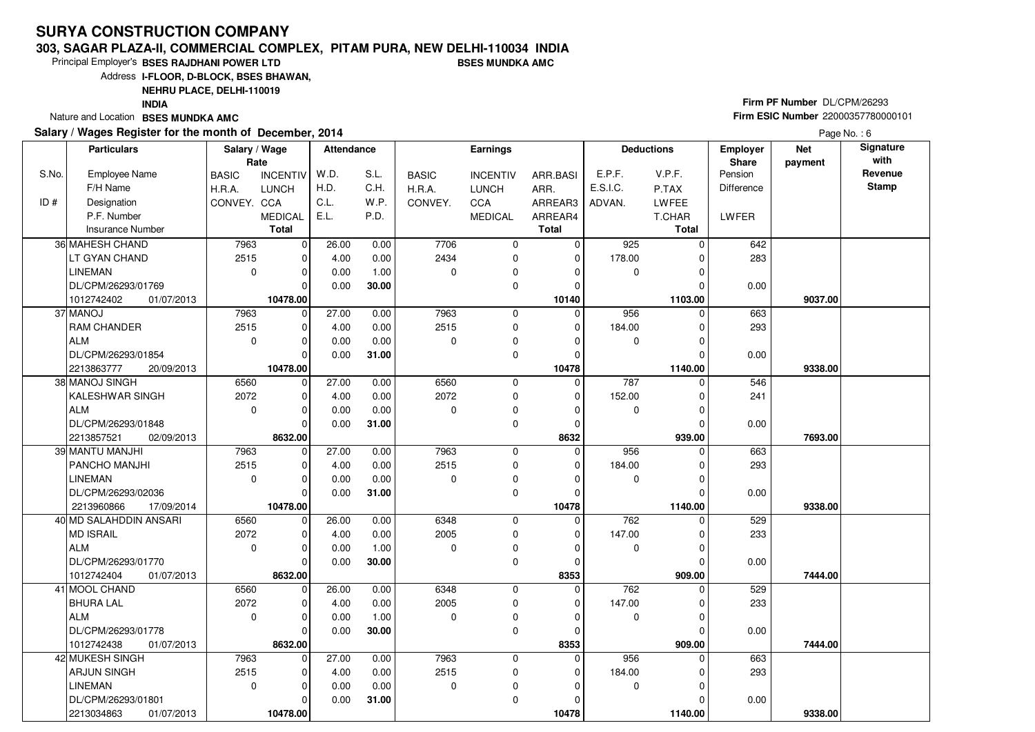#### **303, SAGAR PLAZA-II, COMMERCIAL COMPLEX, PITAM PURA, NEW DELHI-110034 INDIABSES MUNDKA AMC**

Principal Employer's**BSES RAJDHANI POWER LTD**

Address**I-FLOOR, D-BLOCK, BSES BHAWAN,**

**NEHRU PLACE, DELHI-110019**

**INDIA**

Nature and Location **BSES MUNDKA AMC** 

### **Salary / Wages Register for the month of December, 2014**

# **Firm PF Number** DL/CPM/26293 **Firm ESIC Number** <sup>22000357780000101</sup>

|       | <b>Particulars</b>                        | Salary / Wage<br>Rate |                        | <b>Attendance</b> |       |                  | <b>Earnings</b>  |                  |             | <b>Deductions</b>  | <b>Employer</b><br><b>Share</b> | <b>Net</b><br>payment | Signature<br>with |
|-------|-------------------------------------------|-----------------------|------------------------|-------------------|-------|------------------|------------------|------------------|-------------|--------------------|---------------------------------|-----------------------|-------------------|
| S.No. | Employee Name                             | <b>BASIC</b>          | <b>INCENTIV</b>        | W.D.              | S.L.  | <b>BASIC</b>     | <b>INCENTIV</b>  | ARR.BASI         | E.P.F.      | V.P.F.             | Pension                         |                       | Revenue           |
|       | F/H Name                                  | H.R.A.                | <b>LUNCH</b>           | H.D.              | C.H.  | H.R.A.           | <b>LUNCH</b>     | ARR.             | E.S.I.C.    | P.TAX              | Difference                      |                       | <b>Stamp</b>      |
| ID#   | Designation                               | CONVEY. CCA           |                        | C.L.              | W.P.  | CONVEY.          | <b>CCA</b>       | ARREAR3          | ADVAN.      | <b>LWFEE</b>       |                                 |                       |                   |
|       | P.F. Number                               |                       | <b>MEDICAL</b>         | E.L.              | P.D.  |                  | <b>MEDICAL</b>   | ARREAR4          |             | T.CHAR             | LWFER                           |                       |                   |
|       | <b>Insurance Number</b>                   |                       | <b>Total</b>           |                   |       |                  |                  | <b>Total</b>     |             | Total              |                                 |                       |                   |
|       | 36 MAHESH CHAND                           | 7963                  | $\mathbf 0$            | 26.00             | 0.00  | 7706             | 0                | 0                | 925         | $\Omega$           | 642                             |                       |                   |
|       | LT GYAN CHAND                             | 2515                  | $\mathbf 0$            | 4.00              | 0.00  | 2434             | 0                | $\mathbf 0$      | 178.00      | $\Omega$           | 283                             |                       |                   |
|       | <b>LINEMAN</b>                            | $\mathbf 0$           | $\Omega$               | 0.00              | 1.00  | $\Omega$         | 0                | $\Omega$         | 0           | $\Omega$           |                                 |                       |                   |
|       | DL/CPM/26293/01769                        |                       | $\Omega$               | 0.00              | 30.00 |                  | 0                | 0                |             |                    | 0.00                            |                       |                   |
|       | 1012742402<br>01/07/2013                  |                       | 10478.00               |                   |       |                  |                  | 10140            |             | 1103.00            |                                 | 9037.00               |                   |
|       | 37 MANOJ                                  | 7963                  | $\mathbf 0$            | 27.00             | 0.00  | 7963             | 0                | $\Omega$         | 956         | $\Omega$           | 663                             |                       |                   |
|       | <b>RAM CHANDER</b>                        | 2515                  | $\mathbf 0$            | 4.00              | 0.00  | 2515             | $\mathbf 0$      | $\Omega$         | 184.00      | $\Omega$           | 293                             |                       |                   |
|       | ALM                                       | $\mathbf 0$           | $\Omega$               | 0.00              | 0.00  | $\Omega$         | 0                | O                | 0           |                    |                                 |                       |                   |
|       | DL/CPM/26293/01854                        |                       | $\Omega$               | 0.00              | 31.00 |                  | $\mathbf 0$      | 0                |             |                    | 0.00                            |                       |                   |
|       | 2213863777<br>20/09/2013                  |                       | 10478.00               |                   |       |                  |                  | 10478            |             | 1140.00            |                                 | 9338.00               |                   |
|       | 38 MANOJ SINGH                            | 6560                  | $\mathbf 0$            | 27.00             | 0.00  | 6560             | 0                | $\mathbf 0$      | 787         | $\Omega$           | 546                             |                       |                   |
|       | KALESHWAR SINGH                           | 2072                  | $\mathbf 0$            | 4.00              | 0.00  | 2072             | $\mathbf 0$      | $\Omega$         | 152.00      | $\Omega$           | 241                             |                       |                   |
|       | ALM                                       | $\mathbf 0$           | $\Omega$               | 0.00              | 0.00  | 0                | 0                | 0                | 0           | $\Omega$           |                                 |                       |                   |
|       | DL/CPM/26293/01848                        |                       | $\Omega$               | 0.00              | 31.00 |                  | $\mathbf 0$      | $\mathbf 0$      |             |                    | 0.00                            |                       |                   |
|       | 2213857521<br>02/09/2013                  |                       | 8632.00                |                   |       |                  |                  | 8632             |             | 939.00             |                                 | 7693.00               |                   |
|       | 39 MANTU MANJHI                           | 7963                  | 0                      | 27.00             | 0.00  | 7963             | 0                | $\mathbf 0$      | 956         | $\Omega$           | 663                             |                       |                   |
|       | <b>PANCHO MANJHI</b>                      | 2515                  | $\Omega$               | 4.00              | 0.00  | 2515             | $\mathbf 0$      | $\Omega$         | 184.00      | $\Omega$           | 293                             |                       |                   |
|       | <b>LINEMAN</b>                            | $\mathbf 0$           | $\Omega$               | 0.00              | 0.00  | $\Omega$         | 0                | $\Omega$         | 0           | $\Omega$           |                                 |                       |                   |
|       | DL/CPM/26293/02036                        |                       | $\Omega$               | 0.00              | 31.00 |                  | $\mathbf 0$      | $\Omega$         |             |                    | 0.00                            |                       |                   |
|       | 2213960866<br>17/09/2014                  |                       | 10478.00               |                   |       |                  |                  | 10478            |             | 1140.00            |                                 | 9338.00               |                   |
|       | 40 MD SALAHDDIN ANSARI                    | 6560                  | $\mathbf 0$            | 26.00             | 0.00  | 6348             | $\mathbf 0$      | $\mathbf 0$      | 762         |                    | 529                             |                       |                   |
|       | MD ISRAIL                                 | 2072                  | $\Omega$<br>$\Omega$   | 4.00              | 0.00  | 2005<br>$\Omega$ | 0                | $\Omega$         | 147.00      | $\Omega$           | 233                             |                       |                   |
|       | ALM<br>DL/CPM/26293/01770                 | $\mathbf 0$           | $\Omega$               | 0.00              | 1.00  |                  | 0<br>$\mathbf 0$ | 0<br>$\Omega$    | $\mathbf 0$ | $\Omega$           |                                 |                       |                   |
|       |                                           |                       |                        | 0.00              | 30.00 |                  |                  |                  |             |                    | 0.00                            |                       |                   |
|       | 1012742404<br>01/07/2013<br>41 MOOL CHAND | 6560                  | 8632.00<br>$\mathbf 0$ | 26.00             | 0.00  | 6348             | $\mathbf 0$      | 8353<br>$\Omega$ | 762         | 909.00<br>$\Omega$ | 529                             | 7444.00               |                   |
|       | <b>BHURA LAL</b>                          | 2072                  | $\mathbf 0$            | 4.00              | 0.00  | 2005             | 0                | 0                | 147.00      | $\Omega$           | 233                             |                       |                   |
|       | ALM                                       | $\mathbf 0$           | $\Omega$               | 0.00              | 1.00  | $\Omega$         | $\mathbf 0$      | $\Omega$         | $\mathbf 0$ | $\Omega$           |                                 |                       |                   |
|       | DL/CPM/26293/01778                        |                       | $\Omega$               | 0.00              | 30.00 |                  | 0                | $\Omega$         |             | 0                  | 0.00                            |                       |                   |
|       | 1012742438<br>01/07/2013                  |                       | 8632.00                |                   |       |                  |                  | 8353             |             | 909.00             |                                 | 7444.00               |                   |
|       | 42 MUKESH SINGH                           | 7963                  | $\Omega$               | 27.00             | 0.00  | 7963             | $\mathbf 0$      | $\Omega$         | 956         | $\Omega$           | 663                             |                       |                   |
|       | <b>ARJUN SINGH</b>                        | 2515                  | $\mathbf 0$            | 4.00              | 0.00  | 2515             | 0                | 0                | 184.00      |                    | 293                             |                       |                   |
|       | <b>LINEMAN</b>                            | $\mathbf 0$           | $\Omega$               | 0.00              | 0.00  | 0                | 0                | $\Omega$         | 0           | $\Omega$           |                                 |                       |                   |
|       | DL/CPM/26293/01801                        |                       | 0                      | 0.00              | 31.00 |                  | 0                | $\Omega$         |             |                    | 0.00                            |                       |                   |
|       | 2213034863<br>01/07/2013                  |                       | 10478.00               |                   |       |                  |                  | 10478            |             | 1140.00            |                                 | 9338.00               |                   |
|       |                                           |                       |                        |                   |       |                  |                  |                  |             |                    |                                 |                       |                   |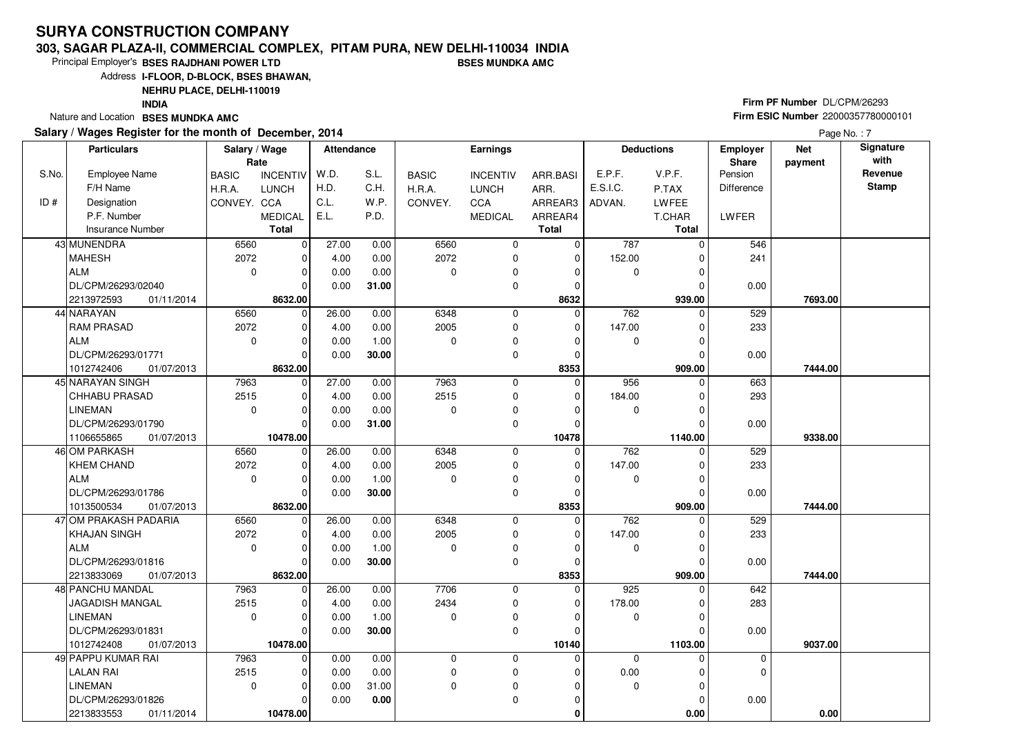#### **303, SAGAR PLAZA-II, COMMERCIAL COMPLEX, PITAM PURA, NEW DELHI-110034 INDIABSES MUNDKA AMC**

Principal Employer's**BSES RAJDHANI POWER LTD**

Address**I-FLOOR, D-BLOCK, BSES BHAWAN,**

**NEHRU PLACE, DELHI-110019**

**INDIA**

Nature and Location **BSES MUNDKA AMC** 

### **Salary / Wages Register for the month of December, 2014**

# **Firm PF Number** DL/CPM/26293 **Firm ESIC Number** <sup>22000357780000101</sup>

|       | <b>Particulars</b>       | Salary / Wage<br>Rate |                 | Attendance |       |              | Earnings        |              |             | <b>Deductions</b> | Employer<br>Share | <b>Net</b><br>payment | Signature<br>with |
|-------|--------------------------|-----------------------|-----------------|------------|-------|--------------|-----------------|--------------|-------------|-------------------|-------------------|-----------------------|-------------------|
| S.No. | <b>Employee Name</b>     | <b>BASIC</b>          | <b>INCENTIV</b> | W.D.       | S.L.  | <b>BASIC</b> | <b>INCENTIV</b> | ARR.BASI     | E.P.F.      | V.P.F.            | Pension           |                       | Revenue           |
|       | F/H Name                 | H.R.A.                | <b>LUNCH</b>    | H.D.       | C.H.  | H.R.A.       | <b>LUNCH</b>    | ARR.         | E.S.I.C.    | P.TAX             | <b>Difference</b> |                       | <b>Stamp</b>      |
| ID#   | Designation              | CONVEY. CCA           |                 | C.L.       | W.P.  | CONVEY.      | CCA             | ARREAR3      | ADVAN.      | LWFEE             |                   |                       |                   |
|       | P.F. Number              |                       | <b>MEDICAL</b>  | E.L.       | P.D.  |              | <b>MEDICAL</b>  | ARREAR4      |             | T.CHAR            | LWFER             |                       |                   |
|       | Insurance Number         |                       | <b>Total</b>    |            |       |              |                 | <b>Total</b> |             | Total             |                   |                       |                   |
|       | 43 MUNENDRA              | 6560                  | $\mathbf 0$     | 27.00      | 0.00  | 6560         | $\mathbf 0$     | $\mathbf 0$  | 787         | $\Omega$          | 546               |                       |                   |
|       | <b>MAHESH</b>            | 2072                  | $\mathbf 0$     | 4.00       | 0.00  | 2072         | 0               | $\mathbf 0$  | 152.00      | 0                 | 241               |                       |                   |
|       | <b>ALM</b>               | $\mathbf 0$           | $\mathbf 0$     | 0.00       | 0.00  | 0            | 0               | 0            | 0           | $\Omega$          |                   |                       |                   |
|       | DL/CPM/26293/02040       |                       | $\Omega$        | 0.00       | 31.00 |              | 0               | 0            |             |                   | 0.00              |                       |                   |
|       | 2213972593<br>01/11/2014 |                       | 8632.00         |            |       |              |                 | 8632         |             | 939.00            |                   | 7693.00               |                   |
|       | 44 NARAYAN               | 6560                  | $\mathbf 0$     | 26.00      | 0.00  | 6348         | 0               | $\Omega$     | 762         | 0                 | 529               |                       |                   |
|       | <b>RAM PRASAD</b>        | 2072                  | $\mathbf 0$     | 4.00       | 0.00  | 2005         | $\mathbf 0$     | $\Omega$     | 147.00      | 0                 | 233               |                       |                   |
|       | <b>ALM</b>               | $\mathbf 0$           | $\mathbf 0$     | 0.00       | 1.00  | 0            | 0               | $\Omega$     | 0           | 0                 |                   |                       |                   |
|       | DL/CPM/26293/01771       |                       | $\Omega$        | 0.00       | 30.00 |              | 0               | $\mathbf 0$  |             | $\Omega$          | 0.00              |                       |                   |
|       | 1012742406<br>01/07/2013 |                       | 8632.00         |            |       |              |                 | 8353         |             | 909.00            |                   | 7444.00               |                   |
|       | 45 NARAYAN SINGH         | 7963                  | $\mathbf 0$     | 27.00      | 0.00  | 7963         | 0               | $\mathbf 0$  | 956         | $\Omega$          | 663               |                       |                   |
|       | CHHABU PRASAD            | 2515                  | 0               | 4.00       | 0.00  | 2515         | 0               | 0            | 184.00      | 0                 | 293               |                       |                   |
|       | <b>LINEMAN</b>           | $\mathbf 0$           | $\mathbf 0$     | 0.00       | 0.00  | $\Omega$     | $\pmb{0}$       | $\Omega$     | 0           | $\Omega$          |                   |                       |                   |
|       | DL/CPM/26293/01790       |                       | $\Omega$        | 0.00       | 31.00 |              | 0               | 0            |             |                   | 0.00              |                       |                   |
|       | 1106655865<br>01/07/2013 |                       | 10478.00        |            |       |              |                 | 10478        |             | 1140.00           |                   | 9338.00               |                   |
|       | 46 OM PARKASH            | 6560                  | $\mathbf 0$     | 26.00      | 0.00  | 6348         | 0               | $\mathbf 0$  | 762         | 0                 | 529               |                       |                   |
|       | <b>KHEM CHAND</b>        | 2072                  | $\mathbf 0$     | 4.00       | 0.00  | 2005         | 0               | $\Omega$     | 147.00      |                   | 233               |                       |                   |
|       | <b>ALM</b>               | $\mathbf 0$           | $\Omega$        | 0.00       | 1.00  | 0            | 0               | $\Omega$     | 0           | 0                 |                   |                       |                   |
|       | DL/CPM/26293/01786       |                       | $\Omega$        | 0.00       | 30.00 |              | $\mathbf 0$     | $\Omega$     |             |                   | 0.00              |                       |                   |
|       | 01/07/2013<br>1013500534 |                       | 8632.00         |            |       |              |                 | 8353         |             | 909.00            |                   | 7444.00               |                   |
|       | 47 OM PRAKASH PADARIA    | 6560                  | $\mathbf 0$     | 26.00      | 0.00  | 6348         | 0               | 0            | 762         |                   | 529               |                       |                   |
|       | <b>KHAJAN SINGH</b>      | 2072                  | 0               | 4.00       | 0.00  | 2005         | 0               | 0            | 147.00      |                   | 233               |                       |                   |
|       | <b>ALM</b>               | $\mathbf 0$           | $\mathbf 0$     | 0.00       | 1.00  | $\Omega$     | 0               | $\mathbf 0$  | 0           | $\Omega$          |                   |                       |                   |
|       | DL/CPM/26293/01816       |                       | $\mathbf 0$     | 0.00       | 30.00 |              | 0               | 0            |             | O                 | 0.00              |                       |                   |
|       | 2213833069<br>01/07/2013 |                       | 8632.00         |            |       |              |                 | 8353         |             | 909.00            |                   | 7444.00               |                   |
|       | 48 PANCHU MANDAL         | 7963                  | $\mathbf 0$     | 26.00      | 0.00  | 7706         | 0               | $\mathbf 0$  | 925         | $\Omega$          | 642               |                       |                   |
|       | JAGADISH MANGAL          | 2515                  | $\mathbf 0$     | 4.00       | 0.00  | 2434         | 0               | $\Omega$     | 178.00      | 0                 | 283               |                       |                   |
|       | <b>LINEMAN</b>           | $\mathbf 0$           | $\Omega$        | 0.00       | 1.00  | 0            | 0               | $\Omega$     | 0           |                   |                   |                       |                   |
|       | DL/CPM/26293/01831       |                       | $\Omega$        | 0.00       | 30.00 |              | $\mathbf 0$     | $\Omega$     |             |                   | 0.00              |                       |                   |
|       | 1012742408<br>01/07/2013 |                       | 10478.00        |            |       |              |                 | 10140        |             | 1103.00           |                   | 9037.00               |                   |
|       | 49 PAPPU KUMAR RAI       | 7963                  | $\mathbf 0$     | 0.00       | 0.00  | 0            | 0               | $\Omega$     | $\mathbf 0$ | $\Omega$          | 0                 |                       |                   |
|       | <b>LALAN RAI</b>         | 2515                  | $\mathbf 0$     | 0.00       | 0.00  | 0            | $\pmb{0}$       | $\Omega$     | 0.00        | 0                 | 0                 |                       |                   |
|       | <b>LINEMAN</b>           | $\mathbf 0$           | $\Omega$        | 0.00       | 31.00 | $\Omega$     | 0               | 0            | $\mathbf 0$ | $\Omega$          |                   |                       |                   |
|       | DL/CPM/26293/01826       |                       | $\mathbf 0$     | 0.00       | 0.00  |              | 0               | 0            |             | 0                 | 0.00              |                       |                   |
|       | 2213833553<br>01/11/2014 |                       | 10478.00        |            |       |              |                 | 0            |             | 0.00              |                   | 0.00                  |                   |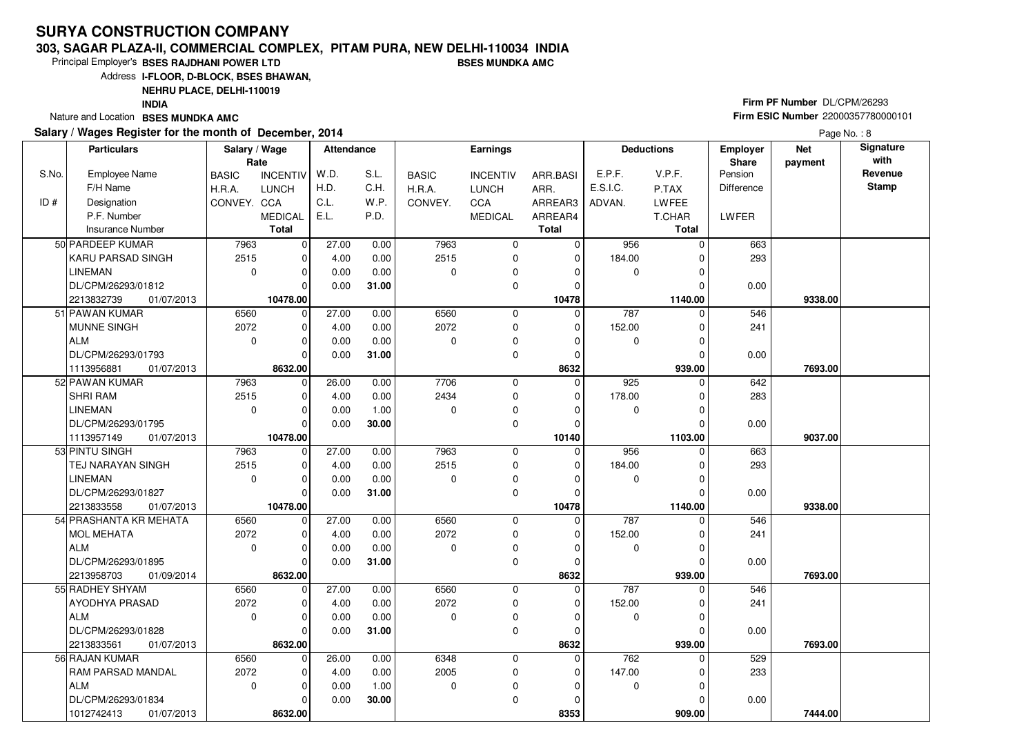#### **303, SAGAR PLAZA-II, COMMERCIAL COMPLEX, PITAM PURA, NEW DELHI-110034 INDIABSES MUNDKA AMC**

Principal Employer's**BSES RAJDHANI POWER LTD**

Address**I-FLOOR, D-BLOCK, BSES BHAWAN,**

**NEHRU PLACE, DELHI-110019**

**INDIA**

Nature and Location **BSES MUNDKA AMC** 

### **Salary / Wages Register for the month of December, 2014**

# **Firm PF Number** DL/CPM/26293 **Firm ESIC Number** <sup>22000357780000101</sup>

|       | <b>Particulars</b>       | Salary / Wage<br>Rate |                 | <b>Attendance</b> |       |              | <b>Earnings</b> |              |          | <b>Deductions</b> | <b>Employer</b><br>Share | <b>Net</b><br>payment | Signature<br>with |
|-------|--------------------------|-----------------------|-----------------|-------------------|-------|--------------|-----------------|--------------|----------|-------------------|--------------------------|-----------------------|-------------------|
| S.No. | <b>Employee Name</b>     | <b>BASIC</b>          | <b>INCENTIV</b> | W.D.              | S.L.  | <b>BASIC</b> | <b>INCENTIV</b> | ARR.BASI     | E.P.F.   | V.P.F.            | Pension                  |                       | Revenue           |
|       | F/H Name                 | H.R.A.                | <b>LUNCH</b>    | H.D.              | C.H.  | H.R.A.       | <b>LUNCH</b>    | ARR.         | E.S.I.C. | P.TAX             | <b>Difference</b>        |                       | <b>Stamp</b>      |
| ID#   | Designation              | CONVEY. CCA           |                 | C.L.              | W.P.  | CONVEY.      | CCA             | ARREAR3      | ADVAN.   | LWFEE             |                          |                       |                   |
|       | P.F. Number              |                       | <b>MEDICAL</b>  | E.L.              | P.D.  |              | <b>MEDICAL</b>  | ARREAR4      |          | T.CHAR            | LWFER                    |                       |                   |
|       | <b>Insurance Number</b>  |                       | <b>Total</b>    |                   |       |              |                 | <b>Total</b> |          | Total             |                          |                       |                   |
|       | 50 PARDEEP KUMAR         | 7963                  | $\mathbf 0$     | 27.00             | 0.00  | 7963         | 0               | $\mathbf 0$  | 956      | $\Omega$          | 663                      |                       |                   |
|       | KARU PARSAD SINGH        | 2515                  | $\mathbf 0$     | 4.00              | 0.00  | 2515         | 0               | $\mathbf 0$  | 184.00   | ŋ                 | 293                      |                       |                   |
|       | <b>LINEMAN</b>           | $\mathbf 0$           | $\mathbf 0$     | 0.00              | 0.00  | 0            | 0               | $\Omega$     | 0        |                   |                          |                       |                   |
|       | DL/CPM/26293/01812       |                       | $\Omega$        | 0.00              | 31.00 |              | 0               | $\Omega$     |          |                   | 0.00                     |                       |                   |
|       | 2213832739<br>01/07/2013 |                       | 10478.00        |                   |       |              |                 | 10478        |          | 1140.00           |                          | 9338.00               |                   |
|       | 51 PAWAN KUMAR           | 6560                  | $\mathbf 0$     | 27.00             | 0.00  | 6560         | 0               | $\Omega$     | 787      | $\Omega$          | 546                      |                       |                   |
|       | <b>MUNNE SINGH</b>       | 2072                  | $\mathbf 0$     | 4.00              | 0.00  | 2072         | 0               | 0            | 152.00   | 0                 | 241                      |                       |                   |
|       | <b>ALM</b>               | $\mathbf 0$           | $\Omega$        | 0.00              | 0.00  | 0            | $\mathbf 0$     | $\Omega$     | 0        | 0                 |                          |                       |                   |
|       | DL/CPM/26293/01793       |                       | $\Omega$        | 0.00              | 31.00 |              | 0               | 0            |          | O                 | 0.00                     |                       |                   |
|       | 01/07/2013<br>1113956881 |                       | 8632.00         |                   |       |              |                 | 8632         |          | 939.00            |                          | 7693.00               |                   |
|       | 52 PAWAN KUMAR           | 7963                  | 0               | 26.00             | 0.00  | 7706         | $\mathbf 0$     | $\Omega$     | 925      | 0                 | 642                      |                       |                   |
|       | <b>SHRI RAM</b>          | 2515                  | 0               | 4.00              | 0.00  | 2434         | 0               | 0            | 178.00   | 0                 | 283                      |                       |                   |
|       | <b>LINEMAN</b>           | $\mathbf 0$           | $\mathbf 0$     | 0.00              | 1.00  | 0            | 0               | 0            | 0        | 0                 |                          |                       |                   |
|       | DL/CPM/26293/01795       |                       | $\Omega$        | 0.00              | 30.00 |              | $\mathbf 0$     | $\Omega$     |          | 0                 | 0.00                     |                       |                   |
|       | 1113957149<br>01/07/2013 |                       | 10478.00        |                   |       |              |                 | 10140        |          | 1103.00           |                          | 9037.00               |                   |
|       | 53 PINTU SINGH           | 7963                  | $\mathbf 0$     | 27.00             | 0.00  | 7963         | 0               | $\Omega$     | 956      | $\Omega$          | 663                      |                       |                   |
|       | TEJ NARAYAN SINGH        | 2515                  | $\mathbf 0$     | 4.00              | 0.00  | 2515         | $\mathbf 0$     | $\Omega$     | 184.00   |                   | 293                      |                       |                   |
|       | <b>LINEMAN</b>           | $\mathbf 0$           | 0               | 0.00              | 0.00  | 0            | 0               | 0            | 0        | O                 |                          |                       |                   |
|       | DL/CPM/26293/01827       |                       | $\Omega$        | 0.00              | 31.00 |              | $\mathbf 0$     | 0            |          | $\Omega$          | 0.00                     |                       |                   |
|       | 01/07/2013<br>2213833558 |                       | 10478.00        |                   |       |              |                 | 10478        |          | 1140.00           |                          | 9338.00               |                   |
|       | 54 PRASHANTA KR MEHATA   | 6560                  | $\mathbf 0$     | 27.00             | 0.00  | 6560         | 0               | $\mathbf 0$  | 787      | 0                 | 546                      |                       |                   |
|       | <b>MOL MEHATA</b>        | 2072                  | $\mathbf 0$     | 4.00              | 0.00  | 2072         | 0               | $\mathbf 0$  | 152.00   | 0                 | 241                      |                       |                   |
|       | <b>ALM</b>               | $\mathbf 0$           | $\Omega$        | 0.00              | 0.00  | $\Omega$     | 0               | $\Omega$     | 0        | O                 |                          |                       |                   |
|       | DL/CPM/26293/01895       |                       | $\mathbf 0$     | 0.00              | 31.00 |              | 0               | $\mathbf 0$  |          |                   | 0.00                     |                       |                   |
|       | 2213958703<br>01/09/2014 |                       | 8632.00         |                   |       |              |                 | 8632         |          | 939.00            |                          | 7693.00               |                   |
|       | 55 RADHEY SHYAM          | 6560                  | $\mathbf 0$     | 27.00             | 0.00  | 6560         | 0               | 0            | 787      | 0                 | 546                      |                       |                   |
|       | AYODHYA PRASAD           | 2072                  | 0               | 4.00              | 0.00  | 2072         | 0               | 0            | 152.00   |                   | 241                      |                       |                   |
|       | <b>ALM</b>               | $\mathbf 0$           | $\Omega$        | 0.00              | 0.00  | 0            | 0               | $\Omega$     | 0        | 0                 |                          |                       |                   |
|       | DL/CPM/26293/01828       |                       | $\Omega$        | 0.00              | 31.00 |              | $\Omega$        | $\Omega$     |          | O                 | 0.00                     |                       |                   |
|       | 2213833561<br>01/07/2013 |                       | 8632.00         |                   |       |              |                 | 8632         |          | 939.00            |                          | 7693.00               |                   |
|       | 56 RAJAN KUMAR           | 6560                  | $\mathbf 0$     | 26.00             | 0.00  | 6348         | 0               | $\mathbf 0$  | 762      | 0                 | 529                      |                       |                   |
|       | RAM PARSAD MANDAL        | 2072                  | 0               | 4.00              | 0.00  | 2005         | 0               | $\Omega$     | 147.00   |                   | 233                      |                       |                   |
|       | <b>ALM</b>               | $\mathbf 0$           | $\mathbf 0$     | 0.00              | 1.00  | 0            | 0               | 0            | 0        | 0                 |                          |                       |                   |
|       | DL/CPM/26293/01834       |                       | $\Omega$        | 0.00              | 30.00 |              | $\mathbf 0$     | 0            |          |                   | 0.00                     |                       |                   |
|       | 1012742413<br>01/07/2013 |                       | 8632.00         |                   |       |              |                 | 8353         |          | 909.00            |                          | 7444.00               |                   |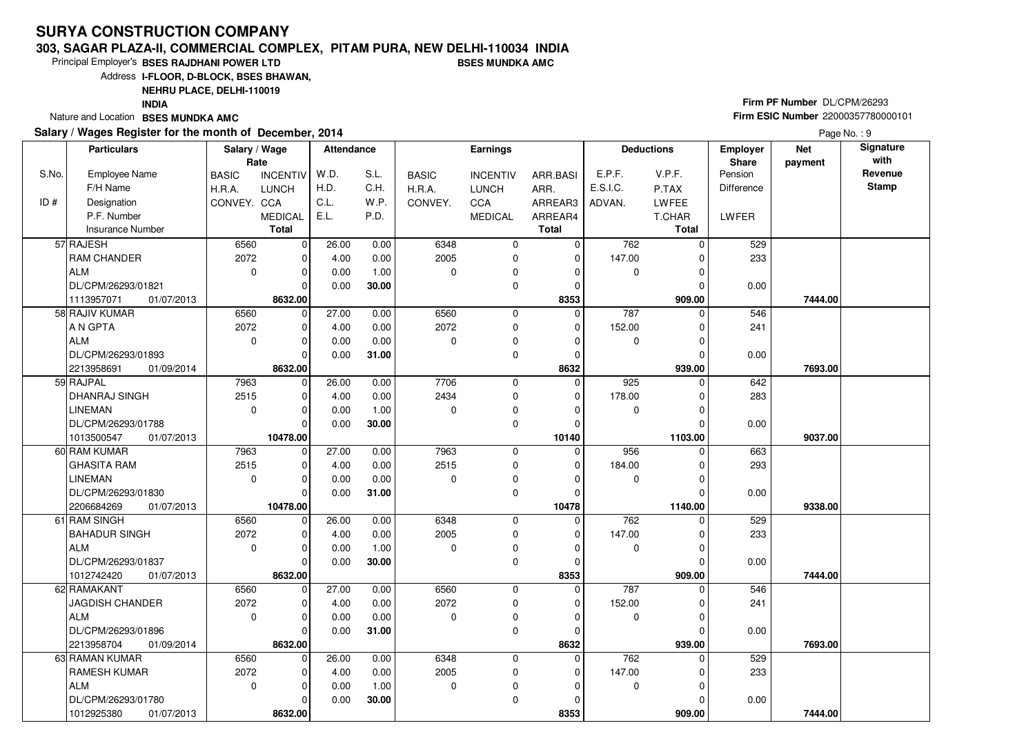#### **303, SAGAR PLAZA-II, COMMERCIAL COMPLEX, PITAM PURA, NEW DELHI-110034 INDIABSES MUNDKA AMC**

Principal Employer's**BSES RAJDHANI POWER LTD**

Address**I-FLOOR, D-BLOCK, BSES BHAWAN,**

**NEHRU PLACE, DELHI-110019**

**INDIA**

Nature and Location **BSES MUNDKA AMC** 

### **Salary / Wages Register for the month of December, 2014**

# **Firm PF Number** DL/CPM/26293 **Firm ESIC Number** <sup>22000357780000101</sup>

|       | <b>Particulars</b>       | Salary / Wage<br>Rate |                 | <b>Attendance</b> |       |              | Earnings        |              |          | <b>Deductions</b> | <b>Employer</b><br>Share | <b>Net</b><br>payment | Signature<br>with |
|-------|--------------------------|-----------------------|-----------------|-------------------|-------|--------------|-----------------|--------------|----------|-------------------|--------------------------|-----------------------|-------------------|
| S.No. | <b>Employee Name</b>     | <b>BASIC</b>          | <b>INCENTIV</b> | W.D.              | S.L.  | <b>BASIC</b> | <b>INCENTIV</b> | ARR.BASI     | E.P.F.   | V.P.F.            | Pension                  |                       | Revenue           |
|       | F/H Name                 | H.R.A.                | <b>LUNCH</b>    | H.D.              | C.H.  | H.R.A.       | <b>LUNCH</b>    | ARR.         | E.S.I.C. | P.TAX             | Difference               |                       | <b>Stamp</b>      |
| ID#   | Designation              | CONVEY. CCA           |                 | C.L.              | W.P.  | CONVEY.      | CCA             | ARREAR3      | ADVAN.   | LWFEE             |                          |                       |                   |
|       | P.F. Number              |                       | <b>MEDICAL</b>  | E.L.              | P.D.  |              | <b>MEDICAL</b>  | ARREAR4      |          | T.CHAR            | <b>LWFER</b>             |                       |                   |
|       | Insurance Number         |                       | <b>Total</b>    |                   |       |              |                 | <b>Total</b> |          | <b>Total</b>      |                          |                       |                   |
|       | 57 RAJESH                | 6560                  | $\mathbf 0$     | 26.00             | 0.00  | 6348         | $\mathbf 0$     | $\mathbf 0$  | 762      | $\Omega$          | 529                      |                       |                   |
|       | RAM CHANDER              | 2072                  | 0               | 4.00              | 0.00  | 2005         | $\mathbf 0$     | $\Omega$     | 147.00   | ŋ                 | 233                      |                       |                   |
|       | <b>ALM</b>               | $\mathbf 0$           | $\mathbf 0$     | 0.00              | 1.00  | 0            | $\mathbf 0$     | 0            | 0        | 0                 |                          |                       |                   |
|       | DL/CPM/26293/01821       |                       | $\Omega$        | 0.00              | 30.00 |              | $\mathbf 0$     | $\mathbf 0$  |          | $\Omega$          | 0.00                     |                       |                   |
|       | 1113957071<br>01/07/2013 |                       | 8632.00         |                   |       |              |                 | 8353         |          | 909.00            |                          | 7444.00               |                   |
|       | 58 RAJIV KUMAR           | 6560                  | $\mathbf 0$     | 27.00             | 0.00  | 6560         | $\mathbf 0$     | $\Omega$     | 787      | $\Omega$          | 546                      |                       |                   |
|       | A N GPTA                 | 2072                  | $\mathbf 0$     | 4.00              | 0.00  | 2072         | $\mathbf 0$     | $\Omega$     | 152.00   | 0                 | 241                      |                       |                   |
|       | <b>ALM</b>               | $\mathbf 0$           | $\mathbf 0$     | 0.00              | 0.00  | 0            | 0               | 0            | 0        | 0                 |                          |                       |                   |
|       | DL/CPM/26293/01893       |                       | $\Omega$        | 0.00              | 31.00 |              | 0               | $\mathbf 0$  |          | $\Omega$          | 0.00                     |                       |                   |
|       | 2213958691<br>01/09/2014 |                       | 8632.00         |                   |       |              |                 | 8632         |          | 939.00            |                          | 7693.00               |                   |
|       | 59 RAJPAL                | 7963                  | $\mathbf 0$     | 26.00             | 0.00  | 7706         | 0               | $\mathbf 0$  | 925      | 0                 | 642                      |                       |                   |
|       | DHANRAJ SINGH            | 2515                  | $\mathbf 0$     | 4.00              | 0.00  | 2434         | 0               | $\mathbf 0$  | 178.00   | 0                 | 283                      |                       |                   |
|       | <b>LINEMAN</b>           | $\mathbf 0$           | 0               | 0.00              | 1.00  | $\Omega$     | 0               | $\Omega$     | 0        | O                 |                          |                       |                   |
|       | DL/CPM/26293/01788       |                       | $\Omega$        | 0.00              | 30.00 |              | 0               | 0            |          | 0                 | 0.00                     |                       |                   |
|       | 1013500547<br>01/07/2013 |                       | 10478.00        |                   |       |              |                 | 10140        |          | 1103.00           |                          | 9037.00               |                   |
|       | 60 RAM KUMAR             | 7963                  | $\mathbf 0$     | 27.00             | 0.00  | 7963         | $\mathbf 0$     | $\Omega$     | 956      | $\Omega$          | 663                      |                       |                   |
|       | <b>GHASITA RAM</b>       | 2515                  | $\mathbf 0$     | 4.00              | 0.00  | 2515         | 0               | 0            | 184.00   | 0                 | 293                      |                       |                   |
|       | <b>LINEMAN</b>           | $\mathbf 0$           | $\Omega$        | 0.00              | 0.00  | $\Omega$     | $\mathbf 0$     | 0            | 0        | 0                 |                          |                       |                   |
|       | DL/CPM/26293/01830       |                       | $\Omega$        | 0.00              | 31.00 |              | 0               | 0            |          | O                 | 0.00                     |                       |                   |
|       | 01/07/2013<br>2206684269 |                       | 10478.00        |                   |       |              |                 | 10478        |          | 1140.00           |                          | 9338.00               |                   |
|       | 61 RAM SINGH             | 6560                  | $\mathbf 0$     | 26.00             | 0.00  | 6348         | $\mathbf 0$     | $\Omega$     | 762      | 0                 | 529                      |                       |                   |
|       | <b>BAHADUR SINGH</b>     | 2072                  | $\mathbf 0$     | 4.00              | 0.00  | 2005         | 0               | 0            | 147.00   | 0                 | 233                      |                       |                   |
|       | <b>ALM</b>               | $\mathbf 0$           | $\Omega$        | 0.00              | 1.00  | $\Omega$     | $\pmb{0}$       | 0            | 0        | 0                 |                          |                       |                   |
|       | DL/CPM/26293/01837       |                       | $\Omega$        | 0.00              | 30.00 |              | $\mathbf 0$     | 0            |          | 0                 | 0.00                     |                       |                   |
|       | 1012742420<br>01/07/2013 |                       | 8632.00         |                   |       |              |                 | 8353         |          | 909.00            |                          | 7444.00               |                   |
|       | 62 RAMAKANT              | 6560                  | $\mathbf 0$     | 27.00             | 0.00  | 6560         | 0               | 0            | 787      | $\Omega$          | 546                      |                       |                   |
|       | <b>JAGDISH CHANDER</b>   | 2072                  | 0               | 4.00              | 0.00  | 2072         | $\mathbf 0$     | 0            | 152.00   | 0                 | 241                      |                       |                   |
|       | <b>ALM</b>               | $\mathbf 0$           | $\Omega$        | 0.00              | 0.00  | 0            | 0               | $\Omega$     | 0        | 0                 |                          |                       |                   |
|       | DL/CPM/26293/01896       |                       | $\Omega$        | 0.00              | 31.00 |              | $\Omega$        | $\Omega$     |          | $\Omega$          | 0.00                     |                       |                   |
|       | 2213958704<br>01/09/2014 |                       | 8632.00         |                   |       |              |                 | 8632         |          | 939.00            |                          | 7693.00               |                   |
|       | 63 RAMAN KUMAR           | 6560                  | $\mathbf 0$     | 26.00             | 0.00  | 6348         | 0               | $\mathbf 0$  | 762      | 0                 | 529                      |                       |                   |
|       | <b>RAMESH KUMAR</b>      | 2072                  | $\mathbf 0$     | 4.00              | 0.00  | 2005         | 0               | $\mathbf 0$  | 147.00   | 0                 | 233                      |                       |                   |
|       | <b>ALM</b>               | $\mathbf 0$           | $\Omega$        | 0.00              | 1.00  | 0            | 0               | 0            | 0        | O                 |                          |                       |                   |
|       | DL/CPM/26293/01780       |                       | $\Omega$        | 0.00              | 30.00 |              | $\mathbf 0$     | 0            |          |                   | 0.00                     |                       |                   |
|       | 1012925380<br>01/07/2013 |                       | 8632.00         |                   |       |              |                 | 8353         |          | 909.00            |                          | 7444.00               |                   |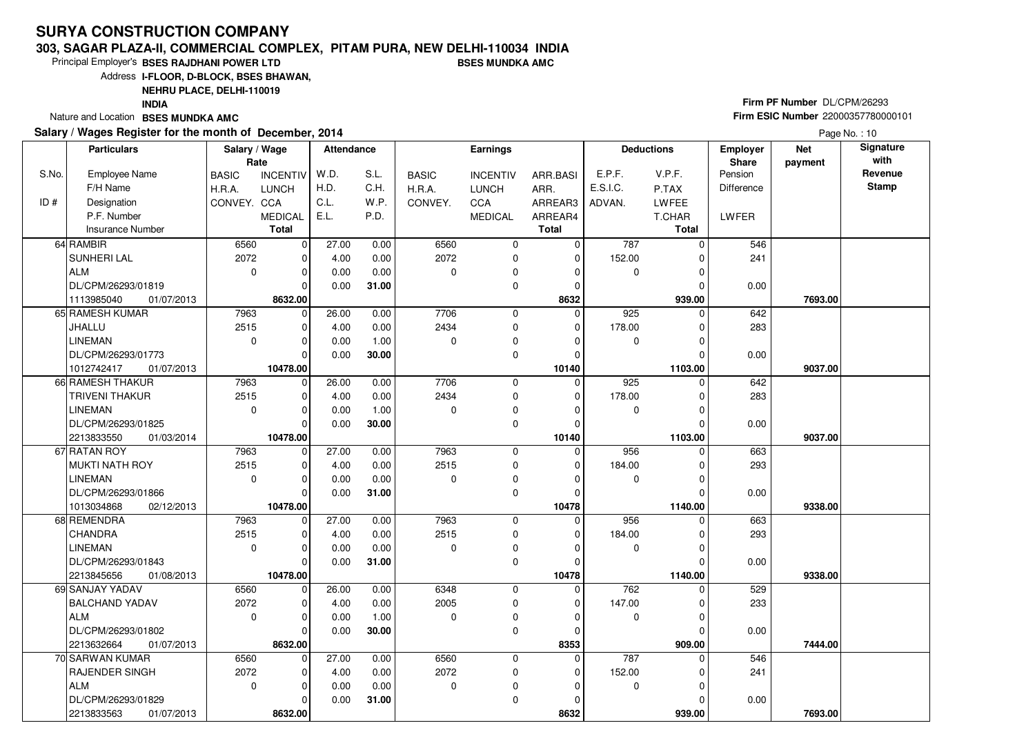#### **303, SAGAR PLAZA-II, COMMERCIAL COMPLEX, PITAM PURA, NEW DELHI-110034 INDIABSES MUNDKA AMC**

Principal Employer's**BSES RAJDHANI POWER LTD**

Address**I-FLOOR, D-BLOCK, BSES BHAWAN,**

### **NEHRU PLACE, DELHI-110019**

**INDIA**

Nature and Location **BSES MUNDKA AMC** 

### **Salary / Wages Register for the month of December, 2014**

# **Firm PF Number** DL/CPM/26293 **Firm ESIC Number** <sup>22000357780000101</sup>

|       | <b>Particulars</b>            | Salary / Wage<br>Rate |                            | <b>Attendance</b> |              |              | <b>Earnings</b>            |                            |          | <b>Deductions</b> | Employer<br>Share | <b>Net</b><br>payment | Signature<br>with |
|-------|-------------------------------|-----------------------|----------------------------|-------------------|--------------|--------------|----------------------------|----------------------------|----------|-------------------|-------------------|-----------------------|-------------------|
| S.No. | <b>Employee Name</b>          | <b>BASIC</b>          | <b>INCENTIV</b>            | W.D.              | S.L.         | <b>BASIC</b> | <b>INCENTIV</b>            | ARR.BASI                   | E.P.F.   | V.P.F.            | Pension           |                       | Revenue           |
|       | F/H Name                      | H.R.A.                | <b>LUNCH</b>               | H.D.              | C.H.         | H.R.A.       | <b>LUNCH</b>               | ARR.                       | E.S.I.C. | P.TAX             | <b>Difference</b> |                       | <b>Stamp</b>      |
| ID#   | Designation                   | CONVEY. CCA           |                            | C.L.              | W.P.         | CONVEY.      | CCA                        | ARREAR3                    | ADVAN.   | <b>LWFEE</b>      |                   |                       |                   |
|       | P.F. Number                   |                       | <b>MEDICAL</b>             | E.L.              | P.D.         |              | <b>MEDICAL</b>             | ARREAR4                    |          | T.CHAR            | LWFER             |                       |                   |
|       | <b>Insurance Number</b>       |                       | <b>Total</b>               |                   |              |              |                            | <b>Total</b>               |          | <b>Total</b>      |                   |                       |                   |
|       | 64 RAMBIR                     | 6560                  | $\mathbf 0$                | 27.00             | 0.00         | 6560         | 0                          | 0                          | 787      | $\Omega$          | 546               |                       |                   |
|       | SUNHERI LAL                   | 2072                  | $\mathbf 0$                | 4.00              | 0.00         | 2072         | $\mathbf 0$                | $\mathbf 0$                | 152.00   | $\Omega$          | 241               |                       |                   |
|       | ALM                           | $\mathbf 0$           | $\mathbf 0$                | 0.00              | 0.00         | $\Omega$     | 0                          | $\Omega$                   | 0        | 0                 |                   |                       |                   |
|       | DL/CPM/26293/01819            |                       | $\Omega$                   | 0.00              | 31.00        |              | 0                          | 0                          |          | O                 | 0.00              |                       |                   |
|       | 01/07/2013<br>1113985040      |                       | 8632.00                    |                   |              |              |                            | 8632                       |          | 939.00            |                   | 7693.00               |                   |
|       | 65 RAMESH KUMAR               | 7963                  | $\mathbf 0$                | 26.00             | 0.00         | 7706         | $\mathbf 0$                | $\Omega$                   | 925      | $\Omega$          | 642               |                       |                   |
|       | JHALLU                        | 2515                  | $\mathbf 0$                | 4.00              | 0.00         | 2434         | 0                          | 0                          | 178.00   | $\Omega$          | 283               |                       |                   |
|       | <b>LINEMAN</b>                | $\mathbf 0$           | $\mathbf 0$                | 0.00              | 1.00         | $\Omega$     | 0                          | $\Omega$                   | 0        | $\Omega$          |                   |                       |                   |
|       | DL/CPM/26293/01773            |                       | $\Omega$                   | 0.00              | 30.00        |              | $\mathbf 0$                | $\Omega$                   |          | $\Omega$          | 0.00              |                       |                   |
|       | 1012742417<br>01/07/2013      |                       | 10478.00                   |                   |              |              |                            | 10140                      |          | 1103.00           |                   | 9037.00               |                   |
|       | 66 RAMESH THAKUR              | 7963                  | $\mathbf 0$                | 26.00             | 0.00         | 7706         | 0                          | $\mathbf 0$                | 925      | $\Omega$          | 642               |                       |                   |
|       | <b>TRIVENI THAKUR</b>         | 2515                  | $\mathbf 0$                | 4.00              | 0.00         | 2434         | $\mathbf 0$                | $\mathbf 0$                | 178.00   | 0                 | 283               |                       |                   |
|       | <b>LINEMAN</b>                | $\mathbf 0$           | $\Omega$                   | 0.00              | 1.00         | $\Omega$     | 0                          | $\Omega$                   | 0        | O                 |                   |                       |                   |
|       | DL/CPM/26293/01825            |                       | $\Omega$                   | 0.00              | 30.00        |              | 0                          | 0                          |          | 0                 | 0.00              |                       |                   |
|       | 2213833550<br>01/03/2014      |                       | 10478.00                   |                   |              |              |                            | 10140                      |          | 1103.00           |                   | 9037.00               |                   |
|       | 67 RATAN ROY                  | 7963                  | $\overline{0}$             | 27.00             | 0.00         | 7963         | $\mathbf 0$                | $\Omega$                   | 956      | $\Omega$          | 663               |                       |                   |
|       | MUKTI NATH ROY                | 2515                  | $\mathbf 0$                | 4.00              | 0.00         | 2515         | $\mathbf 0$                | 0                          | 184.00   |                   | 293               |                       |                   |
|       | <b>LINEMAN</b>                | $\mathbf 0$           | $\mathbf 0$                | 0.00              | 0.00         | $\Omega$     | 0                          | $\Omega$                   | 0        |                   |                   |                       |                   |
|       | DL/CPM/26293/01866            |                       | $\Omega$                   | 0.00              | 31.00        |              | $\mathbf 0$                | $\Omega$                   |          | $\Omega$          | 0.00              |                       |                   |
|       | 1013034868<br>02/12/2013      | 7963                  | 10478.00                   | 27.00             |              | 7963         |                            | 10478                      | 956      | 1140.00           |                   | 9338.00               |                   |
|       | 68 REMENDRA<br><b>CHANDRA</b> | 2515                  | $\mathbf 0$<br>$\mathbf 0$ |                   | 0.00<br>0.00 | 2515         | $\mathbf 0$<br>$\mathbf 0$ | $\mathbf 0$<br>$\mathbf 0$ | 184.00   | 0                 | 663<br>293        |                       |                   |
|       | <b>LINEMAN</b>                | $\mathbf 0$           | $\mathbf 0$                | 4.00<br>0.00      | 0.00         | $\Omega$     | 0                          | 0                          | 0        | U                 |                   |                       |                   |
|       | DL/CPM/26293/01843            |                       | $\Omega$                   | 0.00              | 31.00        |              | $\mathbf 0$                | $\mathbf 0$                |          |                   | 0.00              |                       |                   |
|       | 2213845656<br>01/08/2013      |                       | 10478.00                   |                   |              |              |                            | 10478                      |          | 1140.00           |                   | 9338.00               |                   |
|       | 69 SANJAY YADAV               | 6560                  | 0                          | 26.00             | 0.00         | 6348         | $\mathbf 0$                | $\Omega$                   | 762      | 0                 | 529               |                       |                   |
|       | <b>BALCHAND YADAV</b>         | 2072                  | $\mathbf 0$                | 4.00              | 0.00         | 2005         | 0                          | 0                          | 147.00   |                   | 233               |                       |                   |
|       | ALM                           | $\Omega$              | $\Omega$                   | 0.00              | 1.00         | $\Omega$     | $\mathbf 0$                | $\Omega$                   | 0        | $\Omega$          |                   |                       |                   |
|       | DL/CPM/26293/01802            |                       | $\Omega$                   | 0.00              | 30.00        |              | $\Omega$                   | $\Omega$                   |          |                   | 0.00              |                       |                   |
|       | 2213632664<br>01/07/2013      |                       | 8632.00                    |                   |              |              |                            | 8353                       |          | 909.00            |                   | 7444.00               |                   |
|       | 70 SARWAN KUMAR               | 6560                  | $\mathbf 0$                | 27.00             | 0.00         | 6560         | $\mathbf 0$                | $\mathbf 0$                | 787      | $\Omega$          | 546               |                       |                   |
|       | <b>RAJENDER SINGH</b>         | 2072                  | $\mathbf 0$                | 4.00              | 0.00         | 2072         | 0                          | 0                          | 152.00   |                   | 241               |                       |                   |
|       | ALM                           | $\mathbf 0$           | $\Omega$                   | 0.00              | 0.00         | $\mathbf 0$  | 0                          | $\Omega$                   | 0        | $\Omega$          |                   |                       |                   |
|       | DL/CPM/26293/01829            |                       | $\Omega$                   | 0.00              | 31.00        |              | $\mathbf 0$                | $\Omega$                   |          |                   | 0.00              |                       |                   |
|       | 2213833563<br>01/07/2013      |                       | 8632.00                    |                   |              |              |                            | 8632                       |          | 939.00            |                   | 7693.00               |                   |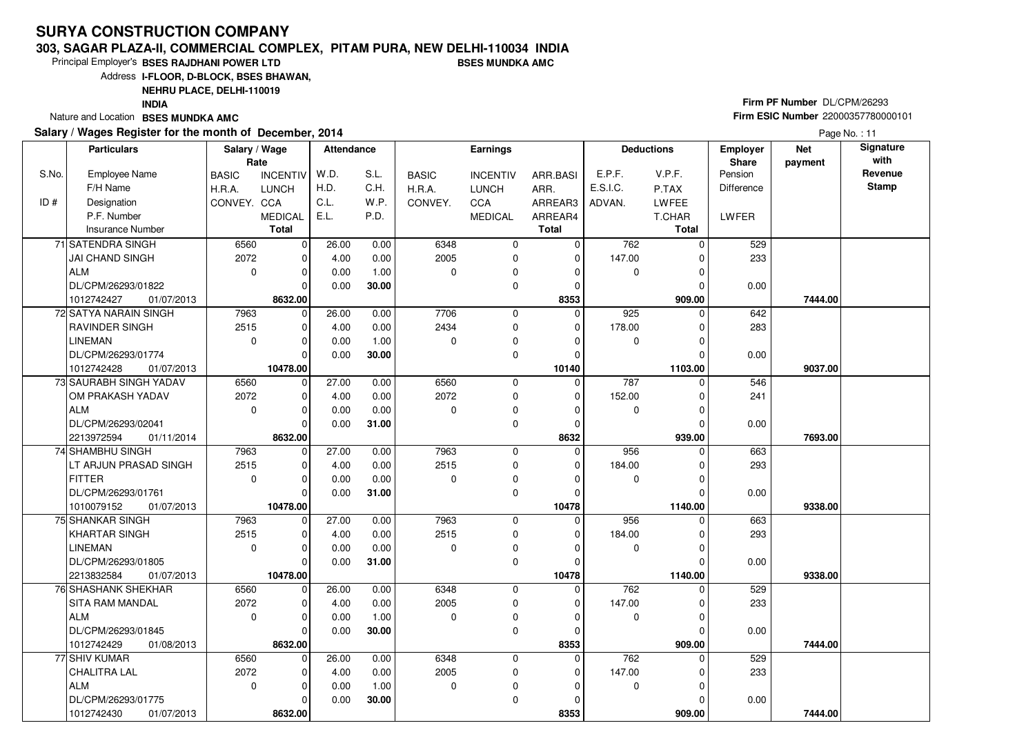#### **303, SAGAR PLAZA-II, COMMERCIAL COMPLEX, PITAM PURA, NEW DELHI-110034 INDIABSES MUNDKA AMC**

Principal Employer's**BSES RAJDHANI POWER LTD**

Address**I-FLOOR, D-BLOCK, BSES BHAWAN,**

**NEHRU PLACE, DELHI-110019**

**INDIA**

Nature and Location **BSES MUNDKA AMC** 

### **Salary / Wages Register for the month of December, 2014**

# **Firm PF Number** DL/CPM/26293 **Firm ESIC Number** <sup>22000357780000101</sup>

|       | <b>Particulars</b>       | Salary / Wage<br>Rate |                 | <b>Attendance</b> |       |              | <b>Earnings</b> |              |          | <b>Deductions</b> | <b>Employer</b><br>Share | <b>Net</b><br>payment | Signature<br>with |
|-------|--------------------------|-----------------------|-----------------|-------------------|-------|--------------|-----------------|--------------|----------|-------------------|--------------------------|-----------------------|-------------------|
| S.No. | <b>Employee Name</b>     | <b>BASIC</b>          | <b>INCENTIV</b> | W.D.              | S.L.  | <b>BASIC</b> | <b>INCENTIV</b> | ARR.BASI     | E.P.F.   | V.P.F.            | Pension                  |                       | Revenue           |
|       | F/H Name                 | H.R.A.                | <b>LUNCH</b>    | H.D.              | C.H.  | H.R.A.       | <b>LUNCH</b>    | ARR.         | E.S.I.C. | P.TAX             | <b>Difference</b>        |                       | <b>Stamp</b>      |
| ID#   | Designation              | CONVEY. CCA           |                 | C.L.              | W.P.  | CONVEY.      | CCA             | ARREAR3      | ADVAN.   | LWFEE             |                          |                       |                   |
|       | P.F. Number              |                       | <b>MEDICAL</b>  | E.L.              | P.D.  |              | <b>MEDICAL</b>  | ARREAR4      |          | T.CHAR            | LWFER                    |                       |                   |
|       | <b>Insurance Number</b>  |                       | <b>Total</b>    |                   |       |              |                 | <b>Total</b> |          | Total             |                          |                       |                   |
|       | 71 SATENDRA SINGH        | 6560                  | $\mathbf 0$     | 26.00             | 0.00  | 6348         | 0               | $\mathbf 0$  | 762      | $\Omega$          | 529                      |                       |                   |
|       | JAI CHAND SINGH          | 2072                  | $\mathbf 0$     | 4.00              | 0.00  | 2005         | 0               | $\mathbf 0$  | 147.00   | O                 | 233                      |                       |                   |
|       | <b>ALM</b>               | $\mathbf 0$           | $\mathbf 0$     | 0.00              | 1.00  | 0            | 0               | 0            | 0        |                   |                          |                       |                   |
|       | DL/CPM/26293/01822       |                       | $\Omega$        | 0.00              | 30.00 |              | 0               | $\mathbf 0$  |          |                   | 0.00                     |                       |                   |
|       | 1012742427<br>01/07/2013 |                       | 8632.00         |                   |       |              |                 | 8353         |          | 909.00            |                          | 7444.00               |                   |
|       | 72 SATYA NARAIN SINGH    | 7963                  | 0               | 26.00             | 0.00  | 7706         | 0               | $\Omega$     | 925      | $\Omega$          | 642                      |                       |                   |
|       | RAVINDER SINGH           | 2515                  | 0               | 4.00              | 0.00  | 2434         | $\mathbf 0$     | 0            | 178.00   | 0                 | 283                      |                       |                   |
|       | <b>LINEMAN</b>           | $\mathbf 0$           | $\Omega$        | 0.00              | 1.00  | 0            | $\mathbf 0$     | 0            | 0        | O                 |                          |                       |                   |
|       | DL/CPM/26293/01774       |                       | $\Omega$        | 0.00              | 30.00 |              | 0               | $\Omega$     |          | O                 | 0.00                     |                       |                   |
|       | 1012742428<br>01/07/2013 |                       | 10478.00        |                   |       |              |                 | 10140        |          | 1103.00           |                          | 9037.00               |                   |
|       | 73 SAURABH SINGH YADAV   | 6560                  | 0               | 27.00             | 0.00  | 6560         | $\mathbf 0$     | $\Omega$     | 787      | 0                 | 546                      |                       |                   |
|       | OM PRAKASH YADAV         | 2072                  | 0               | 4.00              | 0.00  | 2072         | 0               | 0            | 152.00   | 0                 | 241                      |                       |                   |
|       | <b>ALM</b>               | $\mathbf 0$           | $\mathbf 0$     | 0.00              | 0.00  | 0            | 0               | 0            | 0        | 0                 |                          |                       |                   |
|       | DL/CPM/26293/02041       |                       | $\Omega$        | 0.00              | 31.00 |              | $\mathbf 0$     | 0            |          | 0                 | 0.00                     |                       |                   |
|       | 2213972594<br>01/11/2014 |                       | 8632.00         |                   |       |              |                 | 8632         |          | 939.00            |                          | 7693.00               |                   |
|       | 74 SHAMBHU SINGH         | 7963                  | $\mathbf 0$     | 27.00             | 0.00  | 7963         | 0               | $\Omega$     | 956      | $\Omega$          | 663                      |                       |                   |
|       | LT ARJUN PRASAD SINGH    | 2515                  | $\mathbf 0$     | 4.00              | 0.00  | 2515         | $\mathbf 0$     | $\Omega$     | 184.00   |                   | 293                      |                       |                   |
|       | <b>FITTER</b>            | $\mathbf 0$           | $\Omega$        | 0.00              | 0.00  | 0            | 0               | 0            | 0        | O                 |                          |                       |                   |
|       | DL/CPM/26293/01761       |                       | $\Omega$        | 0.00              | 31.00 |              | $\mathbf 0$     | 0            |          | $\Omega$          | 0.00                     |                       |                   |
|       | 1010079152<br>01/07/2013 |                       | 10478.00        |                   |       |              |                 | 10478        |          | 1140.00           |                          | 9338.00               |                   |
|       | 75 SHANKAR SINGH         | 7963                  | $\mathbf 0$     | 27.00             | 0.00  | 7963         | 0               | $\mathbf 0$  | 956      | 0                 | 663                      |                       |                   |
|       | <b>KHARTAR SINGH</b>     | 2515                  | $\mathbf 0$     | 4.00              | 0.00  | 2515         | 0               | 0            | 184.00   | 0                 | 293                      |                       |                   |
|       | <b>LINEMAN</b>           | $\mathbf 0$           | $\Omega$        | 0.00              | 0.00  | $\Omega$     | 0               | 0            | 0        | ŋ                 |                          |                       |                   |
|       | DL/CPM/26293/01805       |                       | $\mathbf 0$     | 0.00              | 31.00 |              | 0               | 0            |          |                   | 0.00                     |                       |                   |
|       | 2213832584<br>01/07/2013 |                       | 10478.00        |                   |       |              |                 | 10478        |          | 1140.00           |                          | 9338.00               |                   |
|       | 76 SHASHANK SHEKHAR      | 6560                  | $\mathbf 0$     | 26.00             | 0.00  | 6348         | 0               | 0            | 762      | 0                 | 529                      |                       |                   |
|       | SITA RAM MANDAL          | 2072                  | 0               | 4.00              | 0.00  | 2005         | 0               | 0            | 147.00   |                   | 233                      |                       |                   |
|       | <b>ALM</b>               | $\mathbf 0$           | $\Omega$        | 0.00              | 1.00  | $\Omega$     | 0               | $\Omega$     | 0        | 0                 |                          |                       |                   |
|       | DL/CPM/26293/01845       |                       | $\Omega$        | 0.00              | 30.00 |              | $\Omega$        | $\Omega$     |          | O                 | 0.00                     |                       |                   |
|       | 1012742429<br>01/08/2013 |                       | 8632.00         |                   |       |              |                 | 8353         |          | 909.00            |                          | 7444.00               |                   |
|       | 77 SHIV KUMAR            | 6560                  | $\mathbf 0$     | 26.00             | 0.00  | 6348         | 0               | $\mathbf 0$  | 762      | 0                 | 529                      |                       |                   |
|       | <b>CHALITRA LAL</b>      | 2072                  | 0               | 4.00              | 0.00  | 2005         | 0               | $\Omega$     | 147.00   |                   | 233                      |                       |                   |
|       | <b>ALM</b>               | $\mathbf 0$           | $\Omega$        | 0.00              | 1.00  | 0            | 0               | 0            | 0        | 0                 |                          |                       |                   |
|       | DL/CPM/26293/01775       |                       | $\Omega$        | 0.00              | 30.00 |              | $\mathbf 0$     | 0            |          |                   | 0.00                     |                       |                   |
|       | 1012742430<br>01/07/2013 |                       | 8632.00         |                   |       |              |                 | 8353         |          | 909.00            |                          | 7444.00               |                   |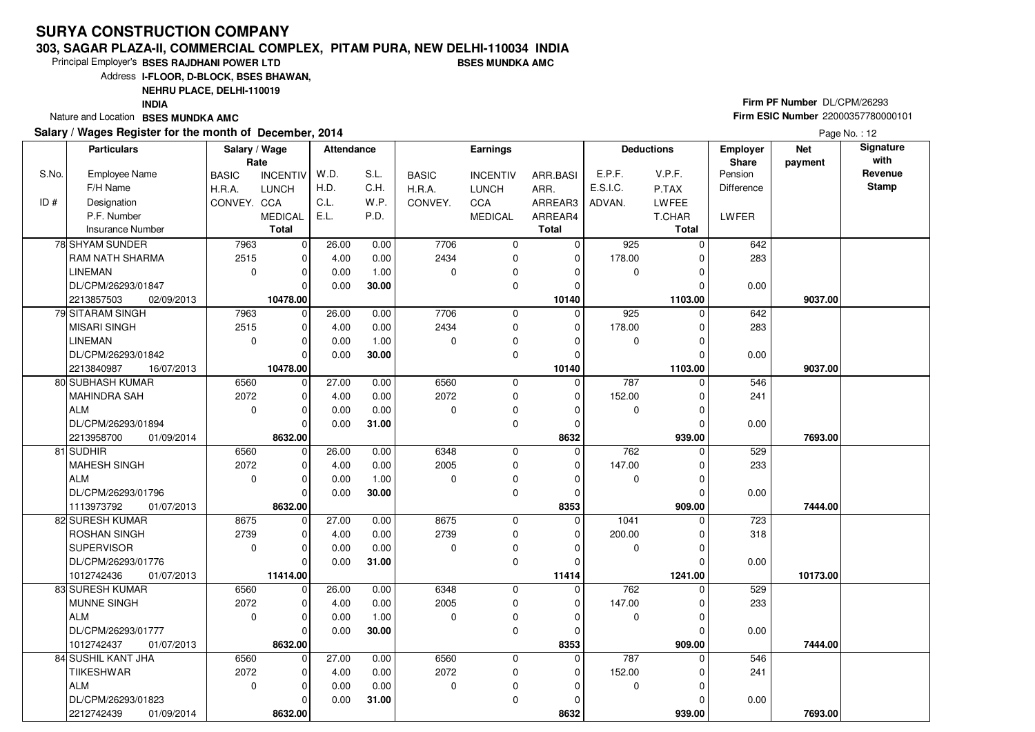#### **303, SAGAR PLAZA-II, COMMERCIAL COMPLEX, PITAM PURA, NEW DELHI-110034 INDIABSES MUNDKA AMC**

Principal Employer's**BSES RAJDHANI POWER LTD**

Address**I-FLOOR, D-BLOCK, BSES BHAWAN,**

**NEHRU PLACE, DELHI-110019**

**INDIA**

Nature and Location **BSES MUNDKA AMC** 

### **Salary / Wages Register for the month of December, 2014**

# **Firm PF Number** DL/CPM/26293 **Firm ESIC Number** <sup>22000357780000101</sup>

|       | <b>Particulars</b>                          | Salary / Wage<br>Rate |                  | Attendance |       |              | <b>Earnings</b> |              |             | <b>Deductions</b>   | <b>Employer</b><br>Share | <b>Net</b><br>payment | Signature<br>with |
|-------|---------------------------------------------|-----------------------|------------------|------------|-------|--------------|-----------------|--------------|-------------|---------------------|--------------------------|-----------------------|-------------------|
| S.No. | <b>Employee Name</b>                        | <b>BASIC</b>          | <b>INCENTIV</b>  | W.D.       | S.L.  | <b>BASIC</b> | <b>INCENTIV</b> | ARR.BASI     | E.P.F.      | V.P.F.              | Pension                  |                       | Revenue           |
|       | F/H Name                                    | H.R.A.                | <b>LUNCH</b>     | H.D.       | C.H.  | H.R.A.       | LUNCH           | ARR.         | E.S.I.C.    | P.TAX               | <b>Difference</b>        |                       | <b>Stamp</b>      |
| ID#   | Designation                                 | CONVEY. CCA           |                  | C.L.       | W.P.  | CONVEY.      | CCA             | ARREAR3      | ADVAN.      | LWFEE               |                          |                       |                   |
|       | P.F. Number                                 |                       | <b>MEDICAL</b>   | E.L.       | P.D.  |              | <b>MEDICAL</b>  | ARREAR4      |             | T.CHAR              | LWFER                    |                       |                   |
|       | <b>Insurance Number</b>                     |                       | <b>Total</b>     |            |       |              |                 | <b>Total</b> |             | Total               |                          |                       |                   |
|       | 78 SHYAM SUNDER                             | 7963                  | $\mathbf 0$      | 26.00      | 0.00  | 7706         | 0               | $\mathbf 0$  | 925         | $\Omega$            | 642                      |                       |                   |
|       | RAM NATH SHARMA                             | 2515                  | $\mathbf 0$      | 4.00       | 0.00  | 2434         | 0               | $\mathbf 0$  | 178.00      |                     | 283                      |                       |                   |
|       | <b>LINEMAN</b>                              | $\mathbf 0$           | $\mathbf 0$      | 0.00       | 1.00  | 0            | 0               | 0            | 0           |                     |                          |                       |                   |
|       | DL/CPM/26293/01847                          |                       | $\Omega$         | 0.00       | 30.00 |              | 0               | $\Omega$     |             |                     | 0.00                     |                       |                   |
|       | 2213857503<br>02/09/2013                    |                       | 10478.00         |            |       |              |                 | 10140        |             | 1103.00             |                          | 9037.00               |                   |
|       | 79 SITARAM SINGH                            | 7963                  | $\mathbf 0$      | 26.00      | 0.00  | 7706         | 0               | $\Omega$     | 925         | $\Omega$            | 642                      |                       |                   |
|       | <b>MISARI SINGH</b>                         | 2515                  | $\mathbf 0$      | 4.00       | 0.00  | 2434         | 0               | 0            | 178.00      | 0                   | 283                      |                       |                   |
|       | <b>LINEMAN</b>                              | $\mathbf 0$           | $\Omega$         | 0.00       | 1.00  | 0            | $\mathbf 0$     | $\Omega$     | 0           |                     |                          |                       |                   |
|       | DL/CPM/26293/01842                          |                       | $\Omega$         | 0.00       | 30.00 |              | 0               | $\Omega$     |             | O                   | 0.00                     |                       |                   |
|       | 2213840987<br>16/07/2013                    |                       | 10478.00         |            |       |              |                 | 10140        |             | 1103.00             |                          | 9037.00               |                   |
|       | 80 SUBHASH KUMAR                            | 6560                  | 0                | 27.00      | 0.00  | 6560         | $\mathbf 0$     | $\Omega$     | 787         | 0                   | 546                      |                       |                   |
|       | <b>MAHINDRA SAH</b>                         | 2072                  | 0                | 4.00       | 0.00  | 2072         | 0               | 0            | 152.00      | 0                   | 241                      |                       |                   |
|       | <b>ALM</b>                                  | $\mathbf 0$           | $\mathbf 0$      | 0.00       | 0.00  | 0            | 0               | 0            | 0           | 0                   |                          |                       |                   |
|       | DL/CPM/26293/01894                          |                       | $\Omega$         | 0.00       | 31.00 |              | $\mathbf 0$     | 0            |             | 0                   | 0.00                     |                       |                   |
|       | 2213958700<br>01/09/2014                    |                       | 8632.00          |            |       |              |                 | 8632         |             | 939.00              |                          | 7693.00               |                   |
|       | 81 SUDHIR                                   | 6560                  | $\mathbf 0$      | 26.00      | 0.00  | 6348         | 0               | $\Omega$     | 762         | $\Omega$            | 529                      |                       |                   |
|       | <b>MAHESH SINGH</b>                         | 2072                  | $\mathbf 0$      | 4.00       | 0.00  | 2005         | $\mathbf 0$     | $\mathbf 0$  | 147.00      |                     | 233                      |                       |                   |
|       | <b>ALM</b>                                  | 0                     | 0                | 0.00       | 1.00  | 0            | 0               | 0            | 0           | O                   |                          |                       |                   |
|       | DL/CPM/26293/01796                          |                       | $\Omega$         | 0.00       | 30.00 |              | 0               | $\mathbf 0$  |             | $\Omega$            | 0.00                     |                       |                   |
|       | 1113973792<br>01/07/2013                    |                       | 8632.00          |            |       |              |                 | 8353         |             | 909.00              |                          | 7444.00               |                   |
|       | 82 SURESH KUMAR                             | 8675                  | $\mathbf 0$      | 27.00      | 0.00  | 8675         | 0               | $\mathbf 0$  | 1041        | 0                   | 723                      |                       |                   |
|       | ROSHAN SINGH                                | 2739                  | $\mathbf 0$      | 4.00       | 0.00  | 2739         | 0               | 0            | 200.00      | 0                   | 318                      |                       |                   |
|       | <b>SUPERVISOR</b>                           | $\mathbf 0$           | $\Omega$         | 0.00       | 0.00  | $\Omega$     | 0               | 0            | $\mathbf 0$ | O                   |                          |                       |                   |
|       | DL/CPM/26293/01776                          |                       | $\mathbf 0$      | 0.00       | 31.00 |              | 0               | $\mathbf 0$  |             |                     | 0.00                     |                       |                   |
|       | 1012742436<br>01/07/2013<br>83 SURESH KUMAR | 6560                  | 11414.00         | 26.00      | 0.00  | 6348         | 0               | 11414<br>0   | 762         | 1241.00<br>$\Omega$ | 529                      | 10173.00              |                   |
|       | MUNNE SINGH                                 | 2072                  | $\mathbf 0$<br>0 | 4.00       | 0.00  | 2005         | 0               | 0            | 147.00      |                     | 233                      |                       |                   |
|       | <b>ALM</b>                                  | $\mathbf 0$           | $\Omega$         | 0.00       | 1.00  | $\Omega$     | 0               | $\Omega$     | 0           | 0                   |                          |                       |                   |
|       | DL/CPM/26293/01777                          |                       | $\Omega$         | 0.00       | 30.00 |              | $\Omega$        | $\Omega$     |             | O                   | 0.00                     |                       |                   |
|       | 1012742437<br>01/07/2013                    |                       | 8632.00          |            |       |              |                 | 8353         |             | 909.00              |                          | 7444.00               |                   |
|       | 84 SUSHIL KANT JHA                          | 6560                  | $\mathbf 0$      | 27.00      | 0.00  | 6560         | 0               | 0            | 787         | 0                   | 546                      |                       |                   |
|       | <b>TIIKESHWAR</b>                           | 2072                  | 0                | 4.00       | 0.00  | 2072         | 0               | 0            | 152.00      |                     | 241                      |                       |                   |
|       | <b>ALM</b>                                  | $\mathbf 0$           | $\mathbf 0$      | 0.00       | 0.00  | 0            | 0               | 0            | 0           | 0                   |                          |                       |                   |
|       | DL/CPM/26293/01823                          |                       | $\Omega$         | 0.00       | 31.00 |              | $\mathbf 0$     | 0            |             |                     | 0.00                     |                       |                   |
|       | 2212742439<br>01/09/2014                    |                       | 8632.00          |            |       |              |                 | 8632         |             | 939.00              |                          | 7693.00               |                   |
|       |                                             |                       |                  |            |       |              |                 |              |             |                     |                          |                       |                   |